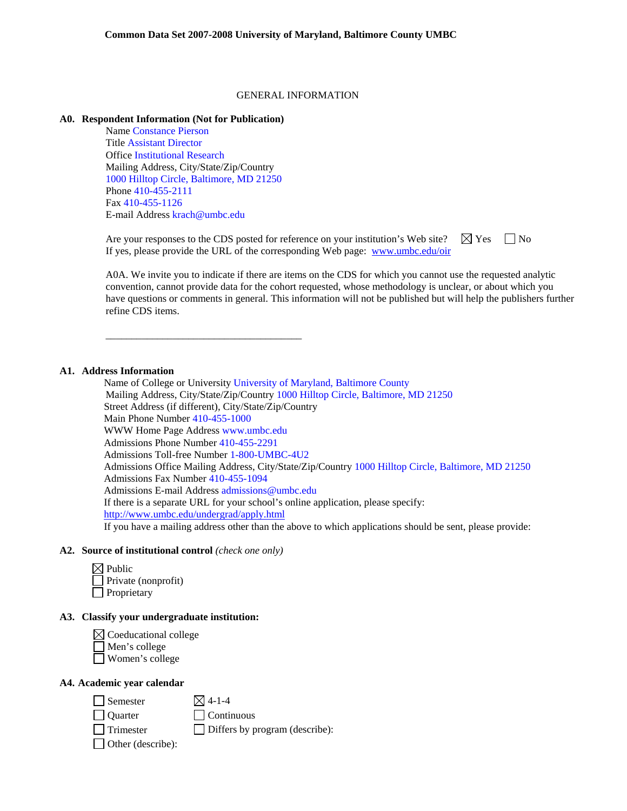#### GENERAL INFORMATION

### **A0. Respondent Information (Not for Publication)**

Name Constance Pierson Title Assistant Director Office Institutional Research Mailing Address, City/State/Zip/Country 1000 Hilltop Circle, Baltimore, MD 21250 Phone 410-455-2111 Fax 410-455-1126 E-mail Address krach@umbc.edu

\_\_\_\_\_\_\_\_\_\_\_\_\_\_\_\_\_\_\_\_\_\_\_\_\_\_\_\_\_\_\_\_\_\_\_\_\_\_

Are your responses to the CDS posted for reference on your institution's Web site?  $\Box$  Yes  $\Box$  No If yes, please provide the URL of the corresponding Web page: www.umbc.edu/oir

A0A. We invite you to indicate if there are items on the CDS for which you cannot use the requested analytic convention, cannot provide data for the cohort requested, whose methodology is unclear, or about which you have questions or comments in general. This information will not be published but will help the publishers further refine CDS items.

### **A1. Address Information**

Name of College or University University of Maryland, Baltimore County Mailing Address, City/State/Zip/Country 1000 Hilltop Circle, Baltimore, MD 21250 Street Address (if different), City/State/Zip/Country Main Phone Number 410-455-1000 WWW Home Page Address www.umbc.edu Admissions Phone Number 410-455-2291 Admissions Toll-free Number 1-800-UMBC-4U2 Admissions Office Mailing Address, City/State/Zip/Country 1000 Hilltop Circle, Baltimore, MD 21250 Admissions Fax Number 410-455-1094 Admissions E-mail Address admissions@umbc.edu If there is a separate URL for your school's online application, please specify: http://www.umbc.edu/undergrad/apply.html If you have a mailing address other than the above to which applications should be sent, please provide:

#### **A2. Source of institutional control** *(check one only)*

| $\boxtimes$ Public         |
|----------------------------|
| $\Box$ Private (nonprofit) |
| Proprietary                |

### **A3. Classify your undergraduate institution:**

 $\boxtimes$  Coeducational college Men's college Women's college

#### **A4. Academic year calendar**

 $\Box$  Semester  $\boxtimes$  4-1-4

Quarter Continuous

 $\Box$  Trimester  $\Box$  Differs by program (describe):

Other (describe):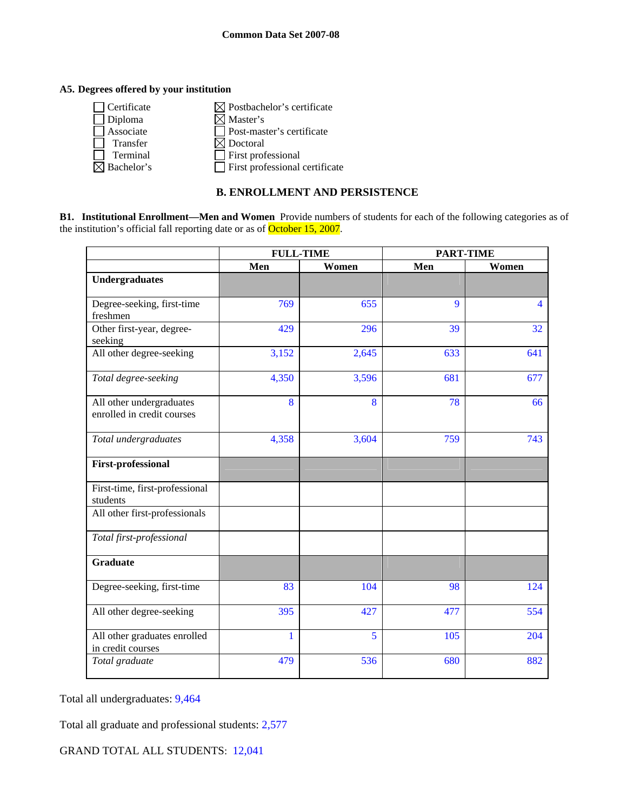## **A5. Degrees offered by your institution**

| Certificate | $\boxtimes$ Postbachelor's certificate |
|-------------|----------------------------------------|
| Diploma     | $\boxtimes$ Master's                   |
| Associate   | Post-master's certificate              |
| Transfer    | $\boxtimes$ Doctoral                   |
| Terminal    | First professional                     |
| Bachelor's  | $\Box$ First professional certificate  |
|             |                                        |

## **B. ENROLLMENT AND PERSISTENCE**

**B1. Institutional Enrollment—Men and Women** Provide numbers of students for each of the following categories as of the institution's official fall reporting date or as of October 15, 2007.

|                                                        | <b>FULL-TIME</b> |       | <b>PART-TIME</b> |                         |  |
|--------------------------------------------------------|------------------|-------|------------------|-------------------------|--|
|                                                        | Men              | Women | Men              | Women                   |  |
| <b>Undergraduates</b>                                  |                  |       |                  |                         |  |
| Degree-seeking, first-time<br>freshmen                 | 769              | 655   | 9                | $\overline{\mathbf{4}}$ |  |
| Other first-year, degree-<br>seeking                   | 429              | 296   | 39               | 32                      |  |
| All other degree-seeking                               | 3,152            | 2,645 | 633              | 641                     |  |
| Total degree-seeking                                   | 4,350            | 3,596 | 681              | 677                     |  |
| All other undergraduates<br>enrolled in credit courses | 8                | 8     | 78               | 66                      |  |
| Total undergraduates                                   | 4,358            | 3,604 | 759              | 743                     |  |
| <b>First-professional</b>                              |                  |       |                  |                         |  |
| First-time, first-professional<br>students             |                  |       |                  |                         |  |
| All other first-professionals                          |                  |       |                  |                         |  |
| Total first-professional                               |                  |       |                  |                         |  |
| <b>Graduate</b>                                        |                  |       |                  |                         |  |
| Degree-seeking, first-time                             | 83               | 104   | 98               | 124                     |  |
| All other degree-seeking                               | 395              | 427   | 477              | 554                     |  |
| All other graduates enrolled<br>in credit courses      | $\mathbf{1}$     | 5     | 105              | 204                     |  |
| Total graduate                                         | 479              | 536   | 680              | 882                     |  |

Total all undergraduates: 9,464

Total all graduate and professional students: 2,577

GRAND TOTAL ALL STUDENTS: 12,041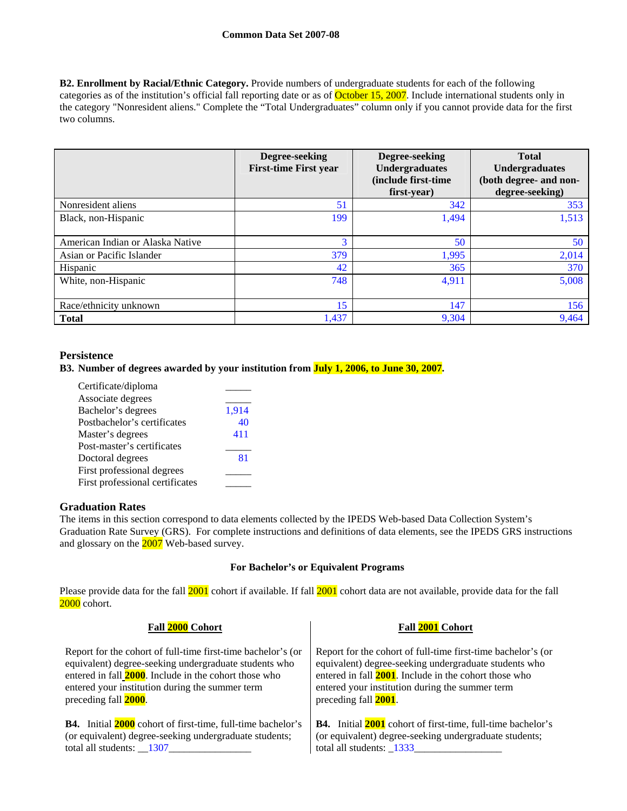**B2. Enrollment by Racial/Ethnic Category.** Provide numbers of undergraduate students for each of the following categories as of the institution's official fall reporting date or as of **October 15, 2007**. Include international students only in the category "Nonresident aliens." Complete the "Total Undergraduates" column only if you cannot provide data for the first two columns.

|                                  | Degree-seeking<br><b>First-time First year</b> | Degree-seeking<br><b>Undergraduates</b><br>(include first-time)<br>first-year) | <b>Total</b><br><b>Undergraduates</b><br>(both degree- and non-<br>degree-seeking) |
|----------------------------------|------------------------------------------------|--------------------------------------------------------------------------------|------------------------------------------------------------------------------------|
| Nonresident aliens               | 51                                             | 342                                                                            | 353                                                                                |
| Black, non-Hispanic              | 199                                            | 1,494                                                                          | 1,513                                                                              |
| American Indian or Alaska Native | 3                                              | 50                                                                             | 50                                                                                 |
| Asian or Pacific Islander        | 379                                            | 1,995                                                                          | 2,014                                                                              |
| <b>Hispanic</b>                  | 42                                             | 365                                                                            | 370                                                                                |
| White, non-Hispanic              | 748                                            | 4,911                                                                          | 5,008                                                                              |
| Race/ethnicity unknown           | 15                                             | 147                                                                            | 156                                                                                |
| <b>Total</b>                     | 1,437                                          | 9,304                                                                          | 9,464                                                                              |

## **Persistence**

### **B3. Number of degrees awarded by your institution from July 1, 2006, to June 30, 2007.**

| Certificate/diploma             |       |
|---------------------------------|-------|
| Associate degrees               |       |
| Bachelor's degrees              | 1,914 |
| Postbachelor's certificates     | 40    |
| Master's degrees                | 411   |
| Post-master's certificates      |       |
| Doctoral degrees                | 81    |
| First professional degrees      |       |
| First professional certificates |       |

## **Graduation Rates**

The items in this section correspond to data elements collected by the IPEDS Web-based Data Collection System's Graduation Rate Survey (GRS). For complete instructions and definitions of data elements, see the IPEDS GRS instructions and glossary on the 2007 Web-based survey.

### **For Bachelor's or Equivalent Programs**

Please provide data for the fall 2001 cohort if available. If fall 2001 cohort data are not available, provide data for the fall 2000 cohort.

#### **Fall 2000 Cohort Fall 2001 Cohort** Report for the cohort of full-time first-time bachelor's (or equivalent) degree-seeking undergraduate students who entered in fall **2000**. Include in the cohort those who entered your institution during the summer term preceding fall **2000**. Report for the cohort of full-time first-time bachelor's (or equivalent) degree-seeking undergraduate students who entered in fall **2001**. Include in the cohort those who entered your institution during the summer term preceding fall **2001**. **B4.** Initial **2000** cohort of first-time, full-time bachelor's (or equivalent) degree-seeking undergraduate students; total all students:  $\_\,\_1307\_\,\_\_\$ **B4.** Initial **2001** cohort of first-time, full-time bachelor's (or equivalent) degree-seeking undergraduate students; total all students: \_1333\_\_\_\_\_\_\_\_\_\_\_\_\_\_\_\_\_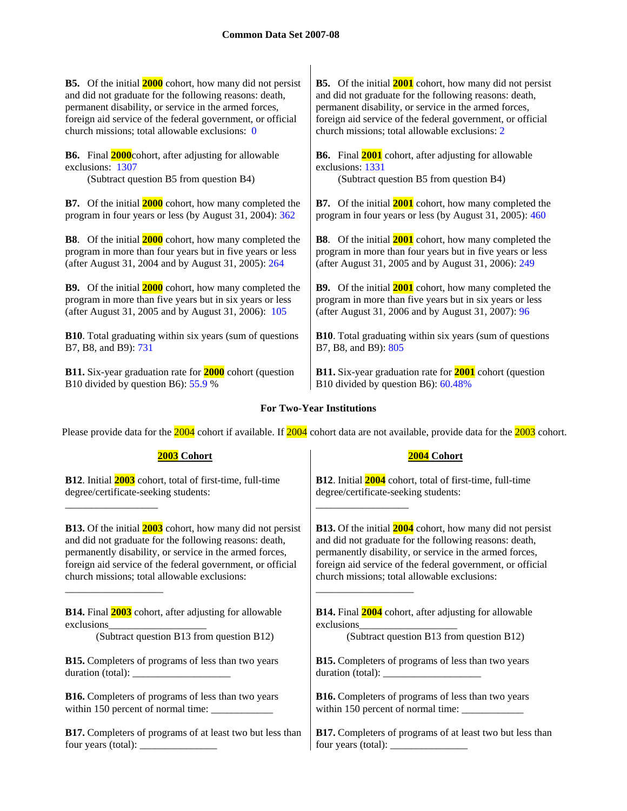**B5.** Of the initial **2000** cohort, how many did not persist and did not graduate for the following reasons: death, permanent disability, or service in the armed forces, foreign aid service of the federal government, or official church missions; total allowable exclusions: 0

**B6.** Final **2000**cohort, after adjusting for allowable exclusions: 1307

(Subtract question B5 from question B4) (Subtract question B5 from question B4)

**B7.** Of the initial **2000** cohort, how many completed the program in four years or less (by August 31, 2004): 362

**B8**. Of the initial **2000** cohort, how many completed the program in more than four years but in five years or less (after August 31, 2004 and by August 31, 2005): 264

**B9.** Of the initial **2000** cohort, how many completed the program in more than five years but in six years or less (after August 31, 2005 and by August 31, 2006): 105

**B10**. Total graduating within six years (sum of questions B7, B8, and B9): 731

**B11.** Six-year graduation rate for **2000** cohort (question B10 divided by question B6): 55.9 %

**B5.** Of the initial **2001** cohort, how many did not persist and did not graduate for the following reasons: death, permanent disability, or service in the armed forces, foreign aid service of the federal government, or official church missions; total allowable exclusions: 2

**B6.** Final **2001** cohort, after adjusting for allowable exclusions: 1331

**B7.** Of the initial **2001** cohort, how many completed the program in four years or less (by August 31, 2005): 460

**B8**. Of the initial **2001** cohort, how many completed the program in more than four years but in five years or less (after August 31, 2005 and by August 31, 2006): 249

**B9.** Of the initial **2001** cohort, how many completed the program in more than five years but in six years or less (after August 31, 2006 and by August 31, 2007): 96

**B10**. Total graduating within six years (sum of questions B7, B8, and B9): 805

**B11.** Six-year graduation rate for **2001** cohort (question B10 divided by question B6): 60.48%

## **For Two-Year Institutions**

Please provide data for the 2004 cohort if available. If 2004 cohort data are not available, provide data for the 2003 cohort.

| 2003 Cohort                                                             | 2004 Cohort                                                                                                                                                                                                                                                                                                                                                                             |
|-------------------------------------------------------------------------|-----------------------------------------------------------------------------------------------------------------------------------------------------------------------------------------------------------------------------------------------------------------------------------------------------------------------------------------------------------------------------------------|
| <b>B12.</b> Initial <b>2003</b> cohort, total of first-time, full-time  | <b>B12.</b> Initial <b>2004</b> cohort, total of first-time, full-time                                                                                                                                                                                                                                                                                                                  |
| degree/certificate-seeking students:                                    | degree/certificate-seeking students:                                                                                                                                                                                                                                                                                                                                                    |
|                                                                         |                                                                                                                                                                                                                                                                                                                                                                                         |
| <b>B13.</b> Of the initial <b>2003</b> cohort, how many did not persist | <b>B13.</b> Of the initial <b>2004</b> cohort, how many did not persist                                                                                                                                                                                                                                                                                                                 |
| and did not graduate for the following reasons: death,                  | and did not graduate for the following reasons: death,                                                                                                                                                                                                                                                                                                                                  |
| permanently disability, or service in the armed forces,                 | permanently disability, or service in the armed forces,                                                                                                                                                                                                                                                                                                                                 |
| foreign aid service of the federal government, or official              | foreign aid service of the federal government, or official                                                                                                                                                                                                                                                                                                                              |
| church missions; total allowable exclusions:                            | church missions; total allowable exclusions:                                                                                                                                                                                                                                                                                                                                            |
| <b>B14.</b> Final <b>2003</b> cohort, after adjusting for allowable     | <b>B14.</b> Final <b>2004</b> cohort, after adjusting for allowable                                                                                                                                                                                                                                                                                                                     |
| exclusions_                                                             | exclusions_                                                                                                                                                                                                                                                                                                                                                                             |
| (Subtract question B13 from question B12)                               | (Subtract question B13 from question B12)                                                                                                                                                                                                                                                                                                                                               |
| <b>B15.</b> Completers of programs of less than two years               | <b>B15.</b> Completers of programs of less than two years                                                                                                                                                                                                                                                                                                                               |
|                                                                         | duration (total): $\frac{1}{\sqrt{1-\frac{1}{2}} \cdot \frac{1}{2}}$                                                                                                                                                                                                                                                                                                                    |
| <b>B16.</b> Completers of programs of less than two years               | <b>B16.</b> Completers of programs of less than two years                                                                                                                                                                                                                                                                                                                               |
|                                                                         |                                                                                                                                                                                                                                                                                                                                                                                         |
| B17. Completers of programs of at least two but less than               | <b>B17.</b> Completers of programs of at least two but less than                                                                                                                                                                                                                                                                                                                        |
|                                                                         | four years (total): $\frac{1}{\sqrt{1-\frac{1}{2}}}\left\{ \frac{1}{2} + \frac{1}{2} + \frac{1}{2} + \frac{1}{2} + \frac{1}{2} + \frac{1}{2} + \frac{1}{2} + \frac{1}{2} + \frac{1}{2} + \frac{1}{2} + \frac{1}{2} + \frac{1}{2} + \frac{1}{2} + \frac{1}{2} + \frac{1}{2} + \frac{1}{2} + \frac{1}{2} + \frac{1}{2} + \frac{1}{2} + \frac{1}{2} + \frac{1}{2} + \frac{1}{2} + \frac{1$ |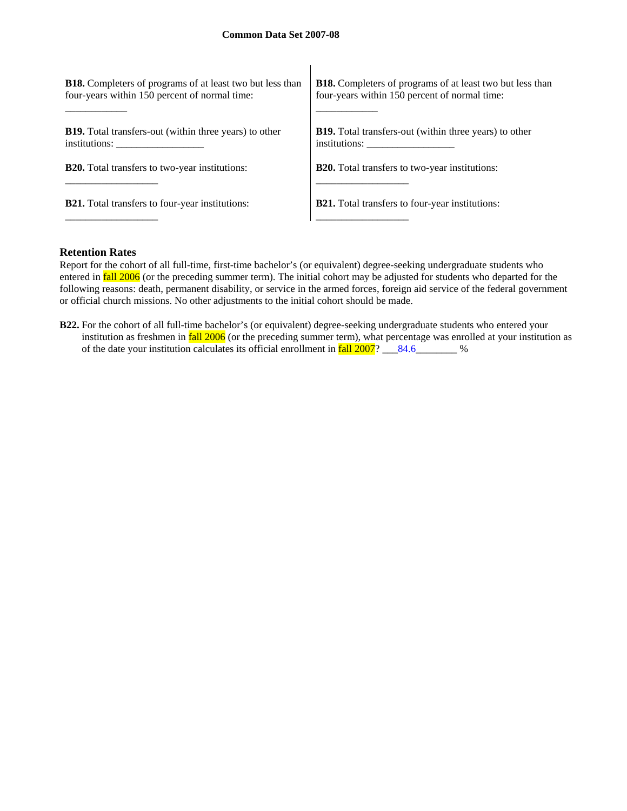| <b>B18.</b> Completers of programs of at least two but less than<br>four-years within 150 percent of normal time: | <b>B18.</b> Completers of programs of at least two but less than<br>four-years within 150 percent of normal time: |
|-------------------------------------------------------------------------------------------------------------------|-------------------------------------------------------------------------------------------------------------------|
|                                                                                                                   |                                                                                                                   |
| <b>B19.</b> Total transfers-out (within three years) to other                                                     | <b>B19.</b> Total transfers-out (within three years) to other<br>institutions:                                    |
| <b>B20.</b> Total transfers to two-year institutions:                                                             | <b>B20.</b> Total transfers to two-year institutions:                                                             |
|                                                                                                                   |                                                                                                                   |
| <b>B21.</b> Total transfers to four-year institutions:                                                            | <b>B21.</b> Total transfers to four-year institutions:                                                            |
|                                                                                                                   |                                                                                                                   |

 $\overline{\phantom{a}}$ 

### **Retention Rates**

Report for the cohort of all full-time, first-time bachelor's (or equivalent) degree-seeking undergraduate students who entered in **fall 2006** (or the preceding summer term). The initial cohort may be adjusted for students who departed for the following reasons: death, permanent disability, or service in the armed forces, foreign aid service of the federal government or official church missions. No other adjustments to the initial cohort should be made.

**B22.** For the cohort of all full-time bachelor's (or equivalent) degree-seeking undergraduate students who entered your institution as freshmen in **fall 2006** (or the preceding summer term), what percentage was enrolled at your institution as of the date your institution calculates its official enrollment in  $fall\ 2007$ ? \_\_\_84.6\_\_\_\_\_\_\_ %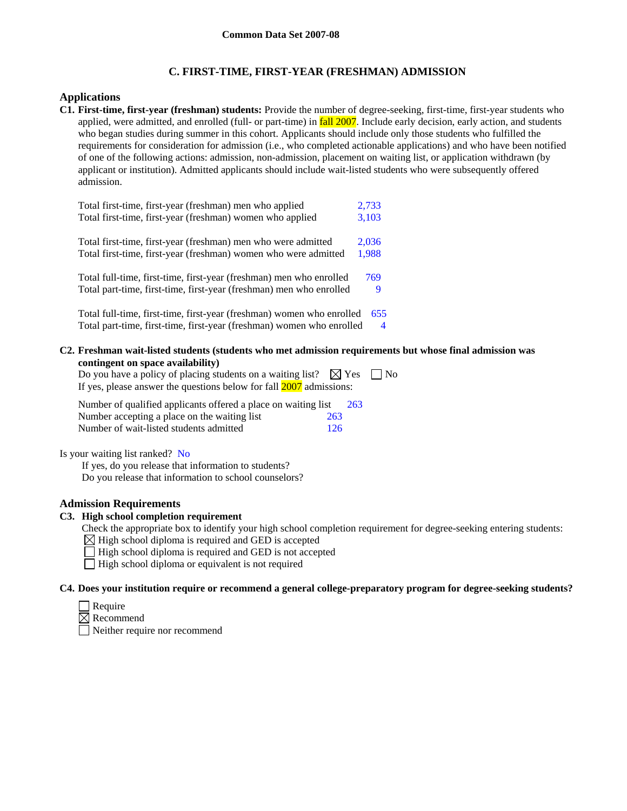## **C. FIRST-TIME, FIRST-YEAR (FRESHMAN) ADMISSION**

### **Applications**

**C1. First-time, first-year (freshman) students:** Provide the number of degree-seeking, first-time, first-year students who applied, were admitted, and enrolled (full- or part-time) in **fall 2007**. Include early decision, early action, and students who began studies during summer in this cohort. Applicants should include only those students who fulfilled the requirements for consideration for admission (i.e., who completed actionable applications) and who have been notified of one of the following actions: admission, non-admission, placement on waiting list, or application withdrawn (by applicant or institution). Admitted applicants should include wait-listed students who were subsequently offered admission.

| Total first-time, first-year (freshman) men who applied               | 2,733 |
|-----------------------------------------------------------------------|-------|
| Total first-time, first-year (freshman) women who applied             | 3,103 |
| Total first-time, first-year (freshman) men who were admitted         | 2,036 |
| Total first-time, first-year (freshman) women who were admitted       | 1,988 |
| Total full-time, first-time, first-year (freshman) men who enrolled   | 769   |
| Total part-time, first-time, first-year (freshman) men who enrolled   | 9     |
| Total full-time, first-time, first-year (freshman) women who enrolled | 655   |
| Total part-time, first-time, first-year (freshman) women who enrolled | 4     |

**C2. Freshman wait-listed students (students who met admission requirements but whose final admission was contingent on space availability)**

| Do you have a policy of placing students on a waiting list? $\boxtimes$ Yes $\Box$ No |  |
|---------------------------------------------------------------------------------------|--|
| If yes, please answer the questions below for fall 2007 admissions:                   |  |

| Number of qualified applicants offered a place on waiting list |     | 263 |
|----------------------------------------------------------------|-----|-----|
| Number accepting a place on the waiting list                   | 263 |     |
| Number of wait-listed students admitted                        | 126 |     |

Is your waiting list ranked? No

If yes, do you release that information to students? Do you release that information to school counselors?

### **Admission Requirements**

### **C3. High school completion requirement**

Check the appropriate box to identify your high school completion requirement for degree-seeking entering students:

- $\boxtimes$  High school diploma is required and GED is accepted
- $\Box$  High school diploma is required and GED is not accepted
- $\Box$  High school diploma or equivalent is not required

## **C4. Does your institution require or recommend a general college-preparatory program for degree-seeking students?**

- $\Box$  Require
- $\boxtimes$  Recommend
- Neither require nor recommend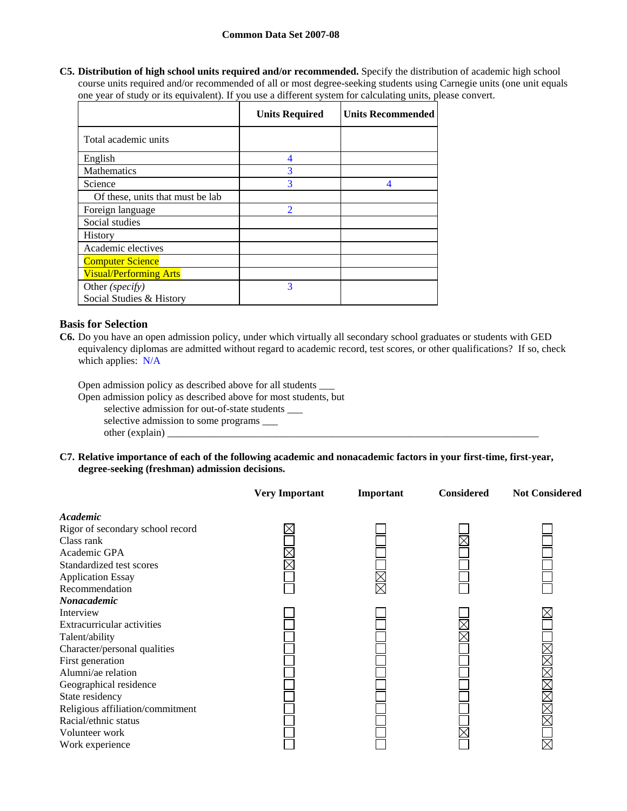**C5. Distribution of high school units required and/or recommended.** Specify the distribution of academic high school course units required and/or recommended of all or most degree-seeking students using Carnegie units (one unit equals one year of study or its equivalent). If you use a different system for calculating units, please convert.

|                                  | <b>Units Required</b>    | <b>Units Recommended</b> |
|----------------------------------|--------------------------|--------------------------|
| Total academic units             |                          |                          |
| English                          | 4                        |                          |
| <b>Mathematics</b>               | 3                        |                          |
| Science                          | 3                        | 4                        |
| Of these, units that must be lab |                          |                          |
| Foreign language                 | $\overline{\mathcal{L}}$ |                          |
| Social studies                   |                          |                          |
| <b>History</b>                   |                          |                          |
| Academic electives               |                          |                          |
| <b>Computer Science</b>          |                          |                          |
| <b>Visual/Performing Arts</b>    |                          |                          |
| Other (specify)                  | 3                        |                          |
| Social Studies & History         |                          |                          |

## **Basis for Selection**

**C6.** Do you have an open admission policy, under which virtually all secondary school graduates or students with GED equivalency diplomas are admitted without regard to academic record, test scores, or other qualifications? If so, check which applies: N/A

Open admission policy as described above for all students \_\_\_

Open admission policy as described above for most students, but

selective admission for out-of-state students \_\_\_

selective admission to some programs \_\_\_\_\_

other (explain) \_\_\_\_\_\_\_\_\_\_\_\_\_\_\_\_\_\_\_\_\_\_\_\_\_\_\_\_\_\_\_\_\_\_\_\_\_\_\_\_\_\_\_\_\_\_\_\_\_\_\_\_\_\_\_\_\_\_\_\_\_\_\_\_\_\_\_\_\_\_\_\_

**C7. Relative importance of each of the following academic and nonacademic factors in your first-time, first-year, degree-seeking (freshman) admission decisions.** 

|                                  | <b>Very Important</b> | Important | <b>Considered</b> | <b>Not Considered</b> |
|----------------------------------|-----------------------|-----------|-------------------|-----------------------|
| Academic                         |                       |           |                   |                       |
| Rigor of secondary school record |                       |           |                   |                       |
| Class rank                       |                       |           |                   |                       |
| Academic GPA                     |                       |           |                   |                       |
| Standardized test scores         |                       |           |                   |                       |
| <b>Application Essay</b>         |                       |           |                   |                       |
| Recommendation                   |                       |           |                   |                       |
| Nonacademic                      |                       |           |                   |                       |
| Interview                        |                       |           |                   |                       |
| Extracurricular activities       |                       |           |                   |                       |
| Talent/ability                   |                       |           |                   |                       |
| Character/personal qualities     |                       |           |                   |                       |
| First generation                 |                       |           |                   |                       |
| Alumni/ae relation               |                       |           |                   |                       |
| Geographical residence           |                       |           |                   |                       |
| State residency                  |                       |           |                   |                       |
| Religious affiliation/commitment |                       |           |                   | XMXXXXX               |
| Racial/ethnic status             |                       |           |                   |                       |
| Volunteer work                   |                       |           |                   |                       |
| Work experience                  |                       |           |                   | $\times$              |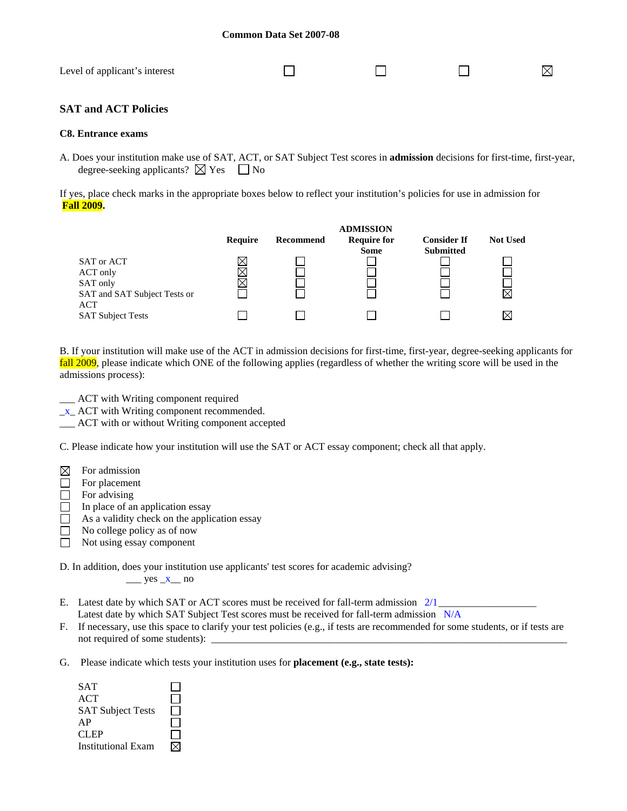| Level of applicant's interest |  |  |
|-------------------------------|--|--|
|                               |  |  |

## **SAT and ACT Policies**

### **C8. Entrance exams**

A. Does your institution make use of SAT, ACT, or SAT Subject Test scores in **admission** decisions for first-time, first-year, degree-seeking applicants?  $\boxtimes$  Yes  $\Box$  No

If yes, place check marks in the appropriate boxes below to reflect your institution's policies for use in admission for **Fall 2009.** 



B. If your institution will make use of the ACT in admission decisions for first-time, first-year, degree-seeking applicants for fall 2009, please indicate which ONE of the following applies (regardless of whether the writing score will be used in the admissions process):

- \_\_\_ ACT with Writing component required
- $x$ <sub> $-$ </sub> ACT with Writing component recommended.
- \_\_\_ ACT with or without Writing component accepted

C. Please indicate how your institution will use the SAT or ACT essay component; check all that apply.

- $\boxtimes$ For admission
- □ For placement
- $\Box$  For advising
- $\Box$  In place of an application essay
- $\Box$  As a validity check on the application essay
- $\Box$  No college policy as of now
- Not using essay component  $\Box$

D. In addition, does your institution use applicants' test scores for academic advising?

 $\frac{\text{yes }-x}{\text{no}}$  no

- E. Latest date by which SAT or ACT scores must be received for fall-term admission  $2/1$ Latest date by which SAT Subject Test scores must be received for fall-term admission N/A
- F. If necessary, use this space to clarify your test policies (e.g., if tests are recommended for some students, or if tests are not required of some students):
- G. Please indicate which tests your institution uses for **placement (e.g., state tests):**

| SAT                       |  |
|---------------------------|--|
| ACT                       |  |
| <b>SAT Subject Tests</b>  |  |
| AP                        |  |
| CLEP                      |  |
| <b>Institutional Exam</b> |  |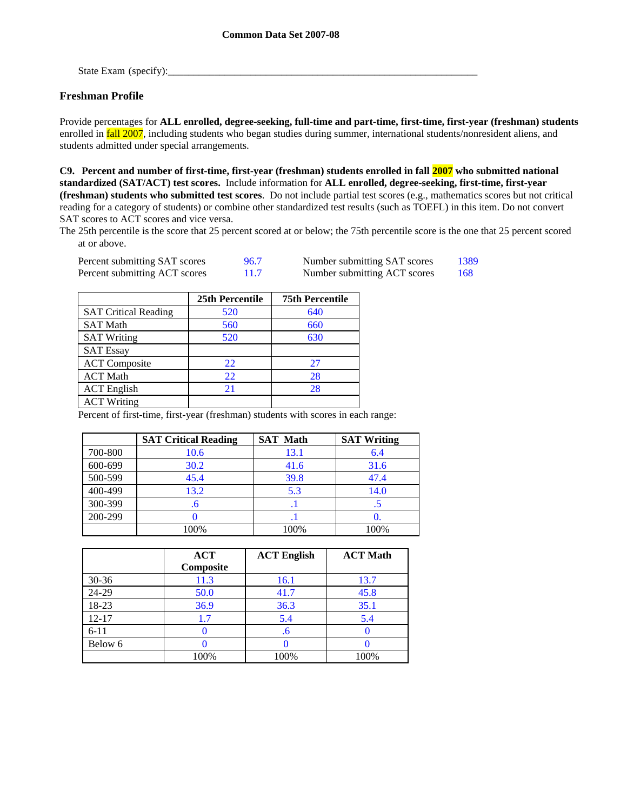State Exam (specify):\_\_\_\_\_\_\_\_\_\_\_\_\_\_\_\_\_\_\_\_\_\_\_\_\_\_\_\_\_\_\_\_\_\_\_\_\_\_\_\_\_\_\_\_\_\_\_\_\_\_\_\_\_\_\_\_\_\_\_\_

## **Freshman Profile**

Provide percentages for **ALL enrolled, degree-seeking, full-time and part-time, first-time, first-year (freshman) students**  enrolled in fall 2007, including students who began studies during summer, international students/nonresident aliens, and students admitted under special arrangements.

**C9. Percent and number of first-time, first-year (freshman) students enrolled in fall 2007 who submitted national standardized (SAT/ACT) test scores.** Include information for **ALL enrolled, degree-seeking, first-time, first-year (freshman) students who submitted test scores**. Do not include partial test scores (e.g., mathematics scores but not critical reading for a category of students) or combine other standardized test results (such as TOEFL) in this item. Do not convert SAT scores to ACT scores and vice versa.

The 25th percentile is the score that 25 percent scored at or below; the 75th percentile score is the one that 25 percent scored at or above.

| Percent submitting SAT scores | 96.7 | Number submitting SAT scores | 1389 |
|-------------------------------|------|------------------------------|------|
| Percent submitting ACT scores |      | Number submitting ACT scores | -168 |

|                             | 25th Percentile | <b>75th Percentile</b> |
|-----------------------------|-----------------|------------------------|
| <b>SAT Critical Reading</b> | 520             | 640                    |
| <b>SAT Math</b>             | 560             | 660                    |
| <b>SAT Writing</b>          | 520             | 630                    |
| <b>SAT Essay</b>            |                 |                        |
| <b>ACT</b> Composite        | 22              | 27                     |
| <b>ACT Math</b>             | 22              | 28                     |
| <b>ACT</b> English          | 21              | 28                     |
| <b>ACT Writing</b>          |                 |                        |

Percent of first-time, first-year (freshman) students with scores in each range:

|         | <b>SAT Critical Reading</b> | <b>SAT Math</b> | <b>SAT Writing</b> |
|---------|-----------------------------|-----------------|--------------------|
| 700-800 | 10.6                        | 13.1            | 6.4                |
| 600-699 | 30.2                        | 41.6            | 31.6               |
| 500-599 | 45.4                        | 39.8            | 47.4               |
| 400-499 | 13.2                        | 5.3             | 14.0               |
| 300-399 | .b                          | - 1             |                    |
| 200-299 |                             |                 |                    |
|         | 100%                        | 100%            | 100%               |

|           | <b>ACT</b><br>Composite | <b>ACT English</b> | <b>ACT Math</b> |
|-----------|-------------------------|--------------------|-----------------|
| $30 - 36$ | 11.3                    | 16.1               | 13.7            |
| 24-29     | 50.0                    | 41.7               | 45.8            |
| 18-23     | 36.9                    | 36.3               | 35.1            |
| $12 - 17$ | 1.7                     | 5.4                | 5.4             |
| $6 - 11$  |                         | .6                 |                 |
| Below 6   |                         |                    |                 |
|           | 100%                    | 100%               | 100%            |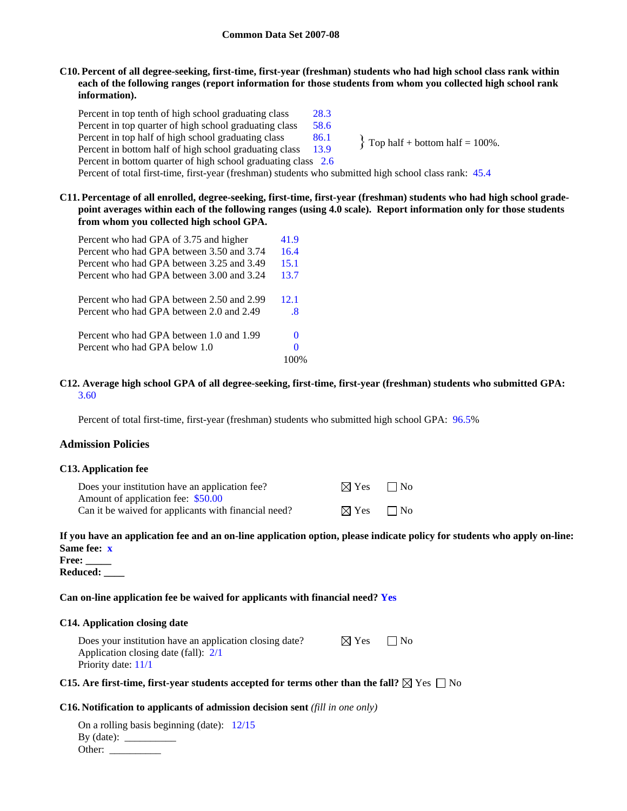## **C10. Percent of all degree-seeking, first-time, first-year (freshman) students who had high school class rank within each of the following ranges (report information for those students from whom you collected high school rank information).**

Percent in top tenth of high school graduating class 28.3 Percent in top quarter of high school graduating class 58.6 Percent in top half of high school graduating class  $86.1$  <br>Percent in bottom half of high school graduating class  $13.9$  <br>Percent in bottom half of high school graduating class  $13.9$  <br>Pop half + bottom half = 100%. Percent in bottom half of high school graduating class Percent in bottom quarter of high school graduating class 2.6 Percent of total first-time, first-year (freshman) students who submitted high school class rank: 45.4

**C11. Percentage of all enrolled, degree-seeking, first-time, first-year (freshman) students who had high school gradepoint averages within each of the following ranges (using 4.0 scale). Report information only for those students from whom you collected high school GPA.** 

| Percent who had GPA of 3.75 and higher    | 41.9 |
|-------------------------------------------|------|
| Percent who had GPA between 3.50 and 3.74 | 16.4 |
| Percent who had GPA between 3.25 and 3.49 | 15.1 |
| Percent who had GPA between 3.00 and 3.24 | 13.7 |
| Percent who had GPA between 2.50 and 2.99 | 12.1 |
| Percent who had GPA between 2.0 and 2.49  | .8   |
| Percent who had GPA between 1.0 and 1.99  | 0    |
| Percent who had GPA below 1.0             | 0    |
|                                           | 100% |

### **C12. Average high school GPA of all degree-seeking, first-time, first-year (freshman) students who submitted GPA:** 3.60

Percent of total first-time, first-year (freshman) students who submitted high school GPA: 96.5%

## **Admission Policies**

### **C13. Application fee**

| Does your institution have an application fee?       | $\boxtimes$ Yes $\Box$ No |  |
|------------------------------------------------------|---------------------------|--|
| Amount of application fee: \$50.00                   |                           |  |
| Can it be waived for applicants with financial need? | $\boxtimes$ Yes $\Box$ No |  |

## **If you have an application fee and an on-line application option, please indicate policy for students who apply on-line: Same fee: x**

**Free: \_\_\_\_\_ Reduced: \_\_\_\_** 

## **Can on-line application fee be waived for applicants with financial need? Yes**

### **C14. Application closing date**

| Does your institution have an application closing date? | $\boxtimes$ Yes | $\Box$ No |  |
|---------------------------------------------------------|-----------------|-----------|--|
| Application closing date (fall): $2/1$                  |                 |           |  |
| Priority date: 11/1                                     |                 |           |  |

### **C15. Are first-time, first-year students accepted for terms other than the fall?**  $\boxtimes$  Yes  $\Box$  No

### **C16. Notification to applicants of admission decision sent** *(fill in one only)*

On a rolling basis beginning (date): 12/15 By  $(data):$ Other: \_\_\_\_\_\_\_\_\_\_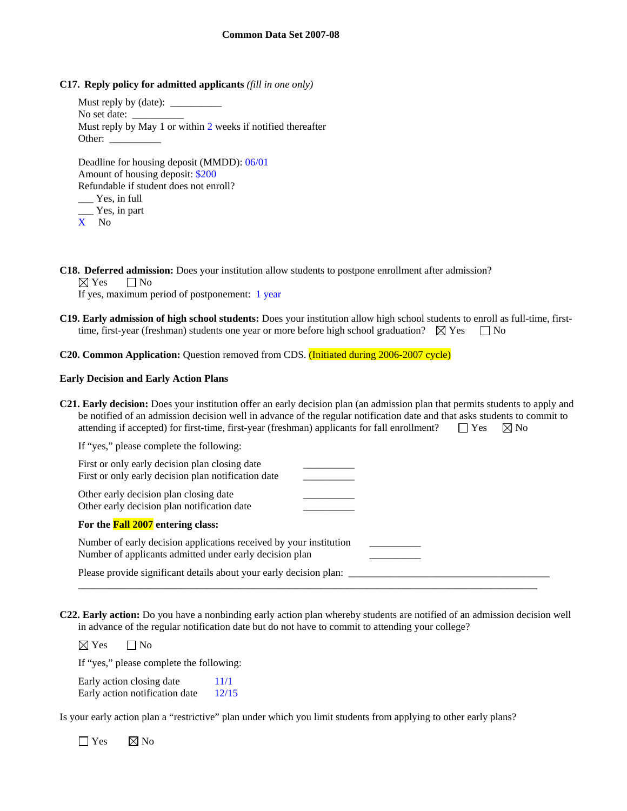**C17. Reply policy for admitted applicants** *(fill in one only)*

Must reply by (date): No set date: Must reply by May 1 or within 2 weeks if notified thereafter Other: Deadline for housing deposit (MMDD): 06/01 Amount of housing deposit: \$200 Refundable if student does not enroll? Yes, in full

- \_\_\_ Yes, in part
- X No

**C18. Deferred admission:** Does your institution allow students to postpone enrollment after admission?

 $\boxtimes$  Yes  $\Box$  No

If yes, maximum period of postponement: 1 year

**C19. Early admission of high school students:** Does your institution allow high school students to enroll as full-time, firsttime, first-year (freshman) students one year or more before high school graduation?  $\boxtimes$  Yes  $\Box$  No

**C20. Common Application:** Question removed from CDS. (Initiated during 2006-2007 cycle)

#### **Early Decision and Early Action Plans**

**C21. Early decision:** Does your institution offer an early decision plan (an admission plan that permits students to apply and be notified of an admission decision well in advance of the regular notification date and that asks students to commit to attending if accepted) for first-time, first-year (freshman) applicants for fall enrollment?  $\square$  Yes  $\boxtimes$  No If "yes," please complete the following:

| First or only early decision plan closing date<br>First or only early decision plan notification date                         |  |
|-------------------------------------------------------------------------------------------------------------------------------|--|
| Other early decision plan closing date<br>Other early decision plan notification date                                         |  |
| For the <b>Fall 2007</b> entering class:                                                                                      |  |
| Number of early decision applications received by your institution<br>Number of applicants admitted under early decision plan |  |
| Please provide significant details about your early decision plan:                                                            |  |

**C22. Early action:** Do you have a nonbinding early action plan whereby students are notified of an admission decision well in advance of the regular notification date but do not have to commit to attending your college?

\_\_\_\_\_\_\_\_\_\_\_\_\_\_\_\_\_\_\_\_\_\_\_\_\_\_\_\_\_\_\_\_\_\_\_\_\_\_\_\_\_\_\_\_\_\_\_\_\_\_\_\_\_\_\_\_\_\_\_\_\_\_\_\_\_\_\_\_\_\_\_\_\_\_\_\_\_\_\_\_\_\_\_\_\_\_\_\_\_

 $\boxtimes$  Yes  $\Box$  No

If "yes," please complete the following:

Early action closing date  $11/1$ Early action notification date 12/15

Is your early action plan a "restrictive" plan under which you limit students from applying to other early plans?

 $\Box$  Yes  $\boxtimes$  No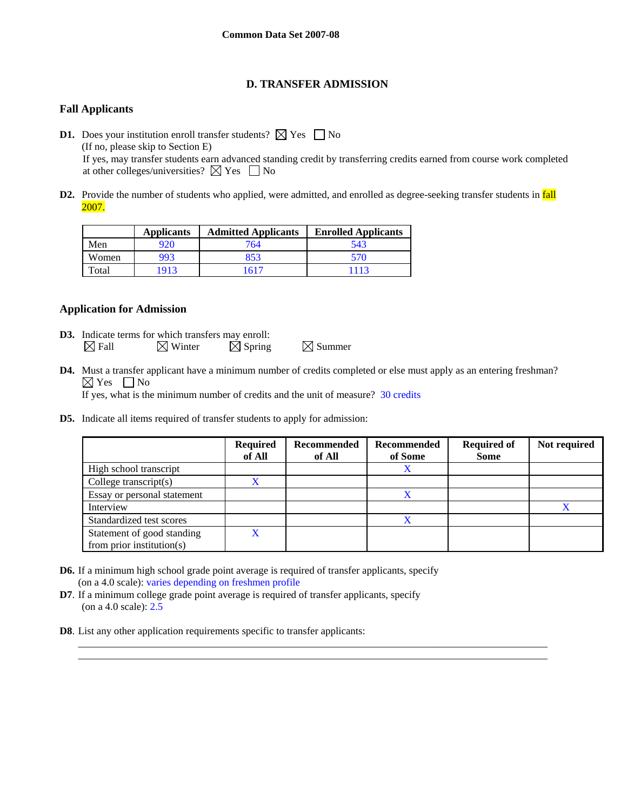## **D. TRANSFER ADMISSION**

## **Fall Applicants**

**D1.** Does your institution enroll transfer students?  $\boxtimes$  Yes  $\Box$  No (If no, please skip to Section E) If yes, may transfer students earn advanced standing credit by transferring credits earned from course work completed at other colleges/universities?  $\boxtimes$  Yes  $\Box$  No

**D2.** Provide the number of students who applied, were admitted, and enrolled as degree-seeking transfer students in fall 2007.

|       | <b>Applicants</b> | <b>Admitted Applicants</b> | <b>Enrolled Applicants</b> |
|-------|-------------------|----------------------------|----------------------------|
| Men   | 920               | 764                        | 543                        |
| Women | 993               | 853                        | 570                        |
| Total | 1913              | 1617                       | 1113                       |

## **Application for Admission**

- **D3.** Indicate terms for which transfers may enroll:  $\boxtimes$  Fall  $\boxtimes$  Winter  $\boxtimes$  Spring  $\boxtimes$  Summer
- **D4.** Must a transfer applicant have a minimum number of credits completed or else must apply as an entering freshman?  $\boxtimes$  Yes  $\Box$  No If yes, what is the minimum number of credits and the unit of measure? 30 credits

\_\_\_\_\_\_\_\_\_\_\_\_\_\_\_\_\_\_\_\_\_\_\_\_\_\_\_\_\_\_\_\_\_\_\_\_\_\_\_\_\_\_\_\_\_\_\_\_\_\_\_\_\_\_\_\_\_\_\_\_\_\_\_\_\_\_\_\_\_\_\_\_\_\_\_\_\_\_\_\_\_\_\_\_\_\_\_\_\_\_\_ \_\_\_\_\_\_\_\_\_\_\_\_\_\_\_\_\_\_\_\_\_\_\_\_\_\_\_\_\_\_\_\_\_\_\_\_\_\_\_\_\_\_\_\_\_\_\_\_\_\_\_\_\_\_\_\_\_\_\_\_\_\_\_\_\_\_\_\_\_\_\_\_\_\_\_\_\_\_\_\_\_\_\_\_\_\_\_\_\_\_\_

**D5.** Indicate all items required of transfer students to apply for admission:

|                                                         | <b>Required</b><br>of All | Recommended<br>of All | Recommended<br>of Some | <b>Required of</b><br><b>Some</b> | Not required |
|---------------------------------------------------------|---------------------------|-----------------------|------------------------|-----------------------------------|--------------|
| High school transcript                                  |                           |                       |                        |                                   |              |
| College transcript $(s)$                                |                           |                       |                        |                                   |              |
| Essay or personal statement                             |                           |                       | X                      |                                   |              |
| Interview                                               |                           |                       |                        |                                   |              |
| Standardized test scores                                |                           |                       | X                      |                                   |              |
| Statement of good standing<br>from prior institution(s) | X                         |                       |                        |                                   |              |

- **D6.** If a minimum high school grade point average is required of transfer applicants, specify (on a 4.0 scale): varies depending on freshmen profile
- **D7**. If a minimum college grade point average is required of transfer applicants, specify (on a 4.0 scale): 2.5
- **D8**. List any other application requirements specific to transfer applicants: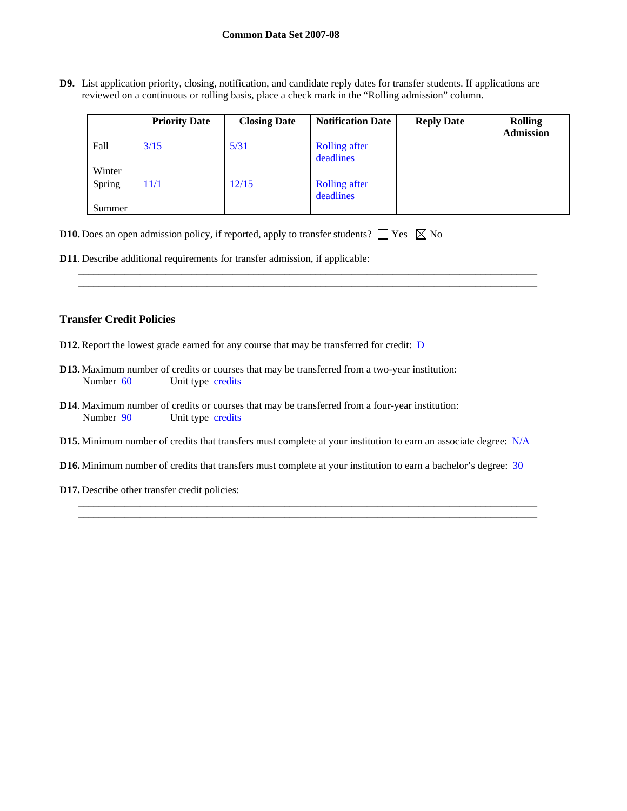**D9.** List application priority, closing, notification, and candidate reply dates for transfer students. If applications are reviewed on a continuous or rolling basis, place a check mark in the "Rolling admission" column.

|        | <b>Priority Date</b> | <b>Closing Date</b> | <b>Notification Date</b>          | <b>Reply Date</b> | <b>Rolling</b><br><b>Admission</b> |
|--------|----------------------|---------------------|-----------------------------------|-------------------|------------------------------------|
| Fall   | 3/15                 | 5/31                | <b>Rolling after</b><br>deadlines |                   |                                    |
| Winter |                      |                     |                                   |                   |                                    |
| Spring | 11/1                 | 12/15               | <b>Rolling after</b><br>deadlines |                   |                                    |
| Summer |                      |                     |                                   |                   |                                    |

\_\_\_\_\_\_\_\_\_\_\_\_\_\_\_\_\_\_\_\_\_\_\_\_\_\_\_\_\_\_\_\_\_\_\_\_\_\_\_\_\_\_\_\_\_\_\_\_\_\_\_\_\_\_\_\_\_\_\_\_\_\_\_\_\_\_\_\_\_\_\_\_\_\_\_\_\_\_\_\_\_\_\_\_\_\_\_\_\_ \_\_\_\_\_\_\_\_\_\_\_\_\_\_\_\_\_\_\_\_\_\_\_\_\_\_\_\_\_\_\_\_\_\_\_\_\_\_\_\_\_\_\_\_\_\_\_\_\_\_\_\_\_\_\_\_\_\_\_\_\_\_\_\_\_\_\_\_\_\_\_\_\_\_\_\_\_\_\_\_\_\_\_\_\_\_\_\_\_

|  |  |  |  |  | <b>D10.</b> Does an open admission policy, if reported, apply to transfer students? $\Box$ Yes $\boxtimes$ No |  |  |  |
|--|--|--|--|--|---------------------------------------------------------------------------------------------------------------|--|--|--|
|--|--|--|--|--|---------------------------------------------------------------------------------------------------------------|--|--|--|

**D11**. Describe additional requirements for transfer admission, if applicable:

### **Transfer Credit Policies**

- **D12.** Report the lowest grade earned for any course that may be transferred for credit: D
- **D13.** Maximum number of credits or courses that may be transferred from a two-year institution: Number 60 Unit type credits
- **D14**. Maximum number of credits or courses that may be transferred from a four-year institution: Number 90 Unit type credits
- **D15.** Minimum number of credits that transfers must complete at your institution to earn an associate degree: N/A
- **D16.** Minimum number of credits that transfers must complete at your institution to earn a bachelor's degree: 30

\_\_\_\_\_\_\_\_\_\_\_\_\_\_\_\_\_\_\_\_\_\_\_\_\_\_\_\_\_\_\_\_\_\_\_\_\_\_\_\_\_\_\_\_\_\_\_\_\_\_\_\_\_\_\_\_\_\_\_\_\_\_\_\_\_\_\_\_\_\_\_\_\_\_\_\_\_\_\_\_\_\_\_\_\_\_\_\_\_ \_\_\_\_\_\_\_\_\_\_\_\_\_\_\_\_\_\_\_\_\_\_\_\_\_\_\_\_\_\_\_\_\_\_\_\_\_\_\_\_\_\_\_\_\_\_\_\_\_\_\_\_\_\_\_\_\_\_\_\_\_\_\_\_\_\_\_\_\_\_\_\_\_\_\_\_\_\_\_\_\_\_\_\_\_\_\_\_\_

**D17.** Describe other transfer credit policies: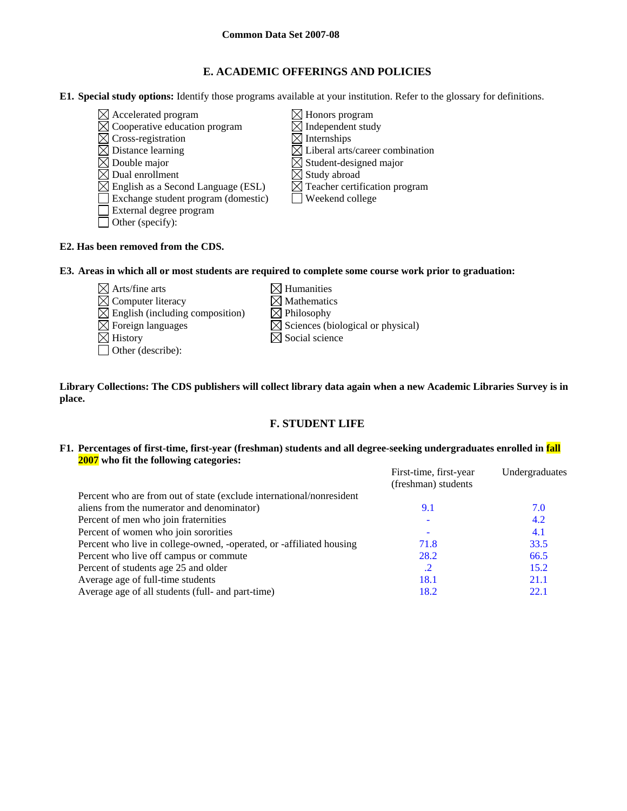## **E. ACADEMIC OFFERINGS AND POLICIES**

**E1. Special study options:** Identify those programs available at your institution. Refer to the glossary for definitions.

- $\boxtimes$  Accelerated program  $\boxtimes$  Honors program
- $\boxtimes$  Cooperative education program  $\boxtimes$  Independent study
- $\boxtimes$  Cross-registration  $\boxtimes$  Internships
- 
- 
- 
- $\boxtimes$  English as a Second Language (ESL)
- Exchange student program (domestic) Weekend college
- External degree program
- Other (specify):
- 
- 
- $\boxtimes$  Distance learning  $\boxtimes$  Liberal arts/career combination
- $\boxtimes$  Double major  $\boxtimes$  Student-designed major
	-
- $\boxtimes$  Dual enrollment<br>  $\boxtimes$  English as a Second Language (ESL)  $\boxtimes$  Teacher certification program
	-

## **E2. Has been removed from the CDS.**

**E3. Areas in which all or most students are required to complete some course work prior to graduation:** 

- $\boxtimes$  Arts/fine arts  $\boxtimes$  Humanities  $\boxtimes$  Computer literacy  $\boxtimes$  Mathematics<br>  $\boxtimes$  English (including composition)  $\boxtimes$  Philosophy  $\boxtimes$  English (including composition)
- 
- Other (describe):
- 
- 
- $\boxtimes$  Foreign languages  $\boxtimes$  Sciences (biological or physical)
- $\boxtimes$  History  $\boxtimes$  Social science

**Library Collections: The CDS publishers will collect library data again when a new Academic Libraries Survey is in place.** 

# **F. STUDENT LIFE**

## **F1. Percentages of first-time, first-year (freshman) students and all degree-seeking undergraduates enrolled in fall 2007 who fit the following categories:**

|                                                                      | First-time, first-year | Undergraduates |
|----------------------------------------------------------------------|------------------------|----------------|
|                                                                      | (freshman) students    |                |
| Percent who are from out of state (exclude international/nonresident |                        |                |
| aliens from the numerator and denominator)                           | 9.1                    | 7.0            |
| Percent of men who join fraternities                                 |                        | 4.2            |
| Percent of women who join sororities                                 |                        | 4.1            |
| Percent who live in college-owned, -operated, or -affiliated housing | 71.8                   | 33.5           |
| Percent who live off campus or commute                               | 28.2                   | 66.5           |
| Percent of students age 25 and older                                 | $\cdot$                | 15.2           |
| Average age of full-time students                                    | 18.1                   | 21.1           |
| Average age of all students (full- and part-time)                    | 18.2                   | 22.1           |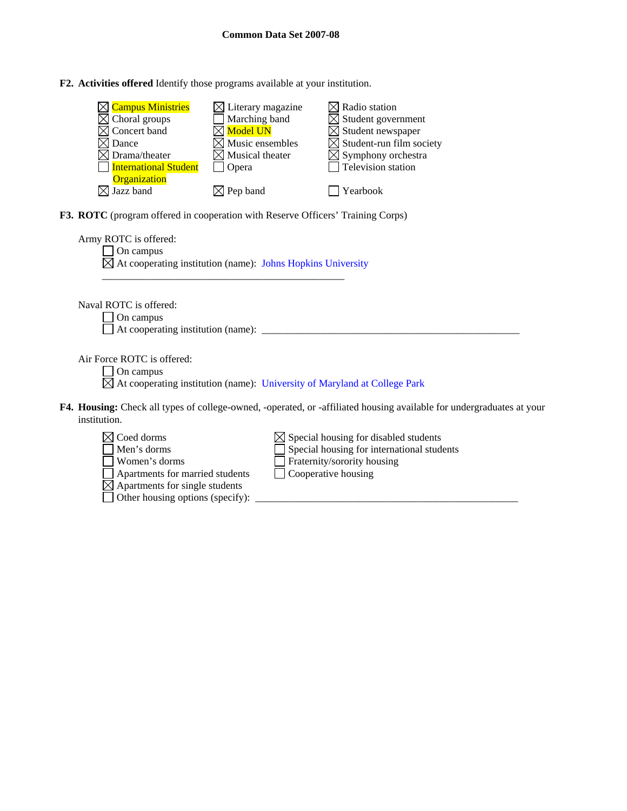**F2. Activities offered** Identify those programs available at your institution.

| $\boxtimes$ Campus Ministries | $\boxtimes$ Literary magazine | $\boxtimes$ Radio station                   |
|-------------------------------|-------------------------------|---------------------------------------------|
| $\boxtimes$ Choral groups     | Marching band                 | $\boxtimes$ Student government              |
| $\boxtimes$ Concert band      | $\boxtimes$ Model UN          | $\boxtimes$ Student newspaper               |
| $\times$ l Dance              | $\boxtimes$ Music ensembles   | $\boxtimes$ Student-run film society        |
| $\boxtimes$ Drama/theater     | $\boxtimes$ Musical theater   | $\boxtimes$ Symphony orchestra              |
| International Student         | Opera                         | $\overline{\phantom{a}}$ Television station |
| <b>Organization</b>           |                               |                                             |
| $\times$ Jazz band            | $\boxtimes$ Pep band          | Yearbook                                    |

**F3. ROTC** (program offered in cooperation with Reserve Officers' Training Corps)

| Army ROTC is offered:<br>On campus<br>$\boxtimes$ At cooperating institution (name): Johns Hopkins University                                                                                                                                                                        |
|--------------------------------------------------------------------------------------------------------------------------------------------------------------------------------------------------------------------------------------------------------------------------------------|
| Naval ROTC is offered:<br>On campus                                                                                                                                                                                                                                                  |
| Air Force ROTC is offered:<br>On campus<br>$\boxtimes$ At cooperating institution (name): University of Maryland at College Park                                                                                                                                                     |
| <b>F4. Housing:</b> Check all types of college-owned, -operated, or -affiliated housing available for undergraduates at your<br>institution.                                                                                                                                         |
| Coed dorms<br>$\boxtimes$ Special housing for disabled students<br>Special housing for international students<br>Men's dorms<br>Fraternity/sorority housing<br>Women's dorms<br>Apartments for married students<br>Cooperative housing<br>$\boxtimes$ Apartments for single students |

Other housing options (specify): \_\_\_\_\_\_\_\_\_\_\_\_\_\_\_\_\_\_\_\_\_\_\_\_\_\_\_\_\_\_\_\_\_\_\_\_\_\_\_\_\_\_\_\_\_\_\_\_\_\_\_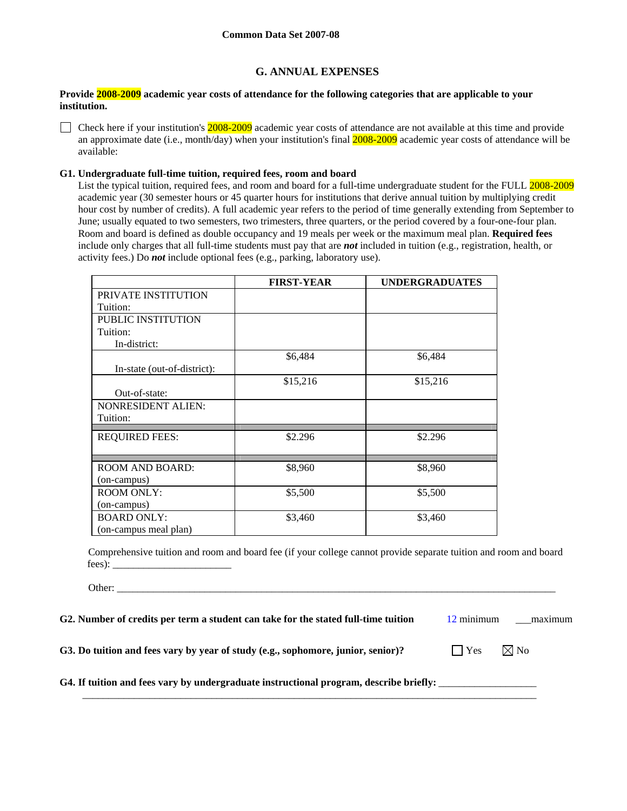## **G. ANNUAL EXPENSES**

## **Provide 2008-2009 academic year costs of attendance for the following categories that are applicable to your institution.**

Check here if your institution's  $2008-2009$  academic year costs of attendance are not available at this time and provide an approximate date (i.e., month/day) when your institution's final  $2008-2009$  academic year costs of attendance will be available:

### **G1. Undergraduate full-time tuition, required fees, room and board**

List the typical tuition, required fees, and room and board for a full-time undergraduate student for the FULL 2008-2009 academic year (30 semester hours or 45 quarter hours for institutions that derive annual tuition by multiplying credit hour cost by number of credits). A full academic year refers to the period of time generally extending from September to June; usually equated to two semesters, two trimesters, three quarters, or the period covered by a four-one-four plan. Room and board is defined as double occupancy and 19 meals per week or the maximum meal plan. **Required fees** include only charges that all full-time students must pay that are *not* included in tuition (e.g., registration, health, or activity fees.) Do *not* include optional fees (e.g., parking, laboratory use).

|                             | <b>FIRST-YEAR</b> | <b>UNDERGRADUATES</b> |
|-----------------------------|-------------------|-----------------------|
| PRIVATE INSTITUTION         |                   |                       |
| Tuition:                    |                   |                       |
| PUBLIC INSTITUTION          |                   |                       |
| Tuition:                    |                   |                       |
| In-district:                |                   |                       |
|                             | \$6,484           | \$6,484               |
| In-state (out-of-district): |                   |                       |
|                             | \$15,216          | \$15,216              |
| Out-of-state:               |                   |                       |
| <b>NONRESIDENT ALIEN:</b>   |                   |                       |
| Tuition:                    |                   |                       |
|                             |                   |                       |
| <b>REQUIRED FEES:</b>       | \$2.296           | \$2.296               |
|                             |                   |                       |
| <b>ROOM AND BOARD:</b>      | \$8,960           | \$8,960               |
| (on-campus)                 |                   |                       |
| <b>ROOM ONLY:</b>           | \$5,500           | \$5,500               |
| (on-campus)                 |                   |                       |
| <b>BOARD ONLY:</b>          | \$3,460           | \$3,460               |
| (on-campus meal plan)       |                   |                       |

Comprehensive tuition and room and board fee (if your college cannot provide separate tuition and room and board fees): \_\_\_\_\_\_\_\_\_\_\_\_\_\_\_\_\_\_\_\_\_\_\_

Other:

**G2. Number of credits per term a student can take for the stated full-time tuition** 12 minimum \_\_\_maximum

 $\mathcal{L}_\text{max}$  , and the contribution of the contribution of the contribution of the contribution of the contribution of the contribution of the contribution of the contribution of the contribution of the contribution of t

**G3. Do tuition and fees vary by year of study (e.g., sophomore, junior, senior)?**  $\Box$  Yes  $\Box$  Yo

G4. If tuition and fees vary by undergraduate instructional program, describe briefly: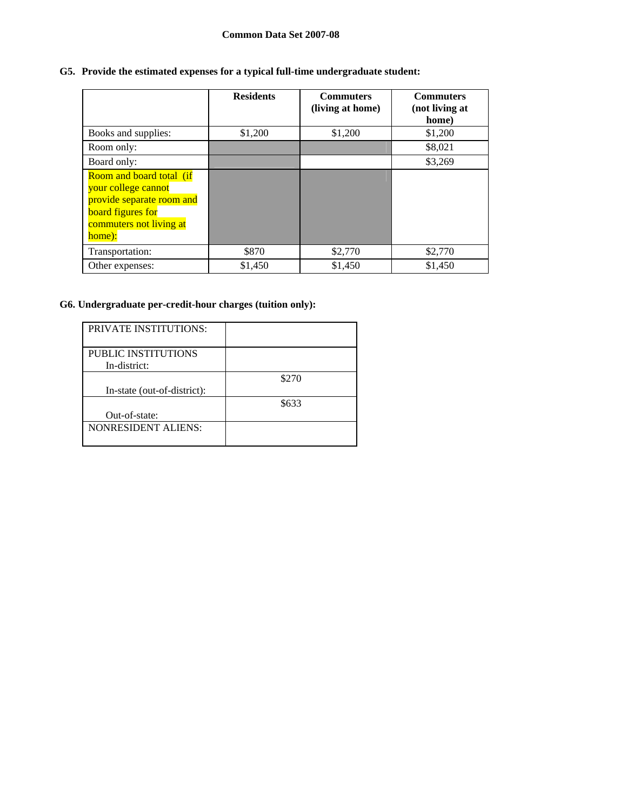## **G5. Provide the estimated expenses for a typical full-time undergraduate student:**

|                                                                                                                                                      | <b>Residents</b> | <b>Commuters</b><br>(living at home) | <b>Commuters</b><br>(not living at<br>home) |
|------------------------------------------------------------------------------------------------------------------------------------------------------|------------------|--------------------------------------|---------------------------------------------|
| Books and supplies:                                                                                                                                  | \$1,200          | \$1,200                              | \$1,200                                     |
| Room only:                                                                                                                                           |                  |                                      | \$8,021                                     |
| Board only:                                                                                                                                          |                  |                                      | \$3,269                                     |
| <b>Room and board total (if</b><br>your college cannot<br>provide separate room and<br><b>board</b> figures for<br>commuters not living at<br>home): |                  |                                      |                                             |
| Transportation:                                                                                                                                      | \$870            | \$2,770                              | \$2,770                                     |
| Other expenses:                                                                                                                                      | \$1,450          | \$1,450                              | \$1,450                                     |

## **G6. Undergraduate per-credit-hour charges (tuition only):**

| <b>PRIVATE INSTITUTIONS:</b>        |       |
|-------------------------------------|-------|
| PUBLIC INSTITUTIONS<br>In-district: |       |
| In-state (out-of-district):         | \$270 |
| Out-of-state:                       | \$633 |
| <b>NONRESIDENT ALIENS:</b>          |       |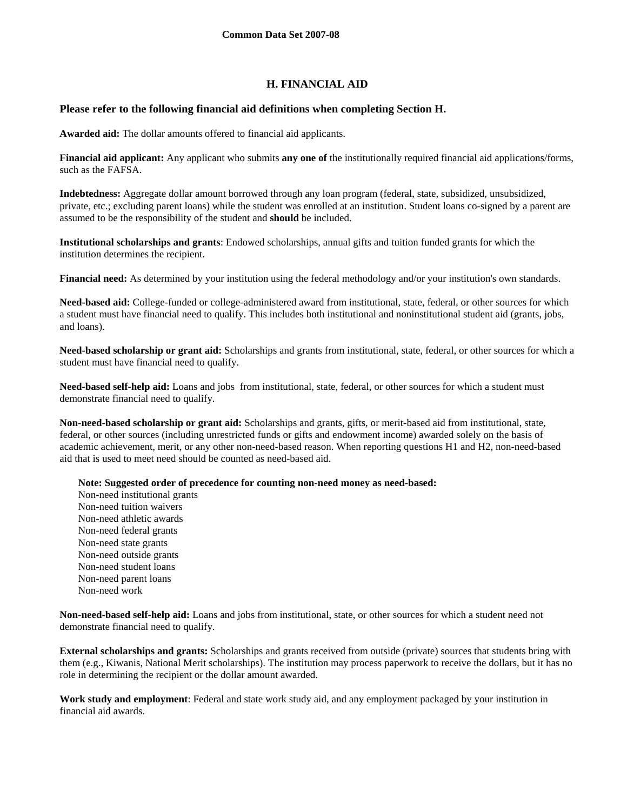## **H. FINANCIAL AID**

## **Please refer to the following financial aid definitions when completing Section H.**

**Awarded aid:** The dollar amounts offered to financial aid applicants.

**Financial aid applicant:** Any applicant who submits **any one of** the institutionally required financial aid applications/forms, such as the FAFSA.

**Indebtedness:** Aggregate dollar amount borrowed through any loan program (federal, state, subsidized, unsubsidized, private, etc.; excluding parent loans) while the student was enrolled at an institution. Student loans co-signed by a parent are assumed to be the responsibility of the student and **should** be included.

**Institutional scholarships and grants**: Endowed scholarships, annual gifts and tuition funded grants for which the institution determines the recipient.

**Financial need:** As determined by your institution using the federal methodology and/or your institution's own standards.

**Need-based aid:** College-funded or college-administered award from institutional, state, federal, or other sources for which a student must have financial need to qualify. This includes both institutional and noninstitutional student aid (grants, jobs, and loans).

**Need-based scholarship or grant aid:** Scholarships and grants from institutional, state, federal, or other sources for which a student must have financial need to qualify.

**Need-based self-help aid:** Loans and jobs from institutional, state, federal, or other sources for which a student must demonstrate financial need to qualify.

**Non-need-based scholarship or grant aid:** Scholarships and grants, gifts, or merit-based aid from institutional, state, federal, or other sources (including unrestricted funds or gifts and endowment income) awarded solely on the basis of academic achievement, merit, or any other non-need-based reason. When reporting questions H1 and H2, non-need-based aid that is used to meet need should be counted as need-based aid.

**Note: Suggested order of precedence for counting non-need money as need-based:** 

Non-need institutional grants Non-need tuition waivers Non-need athletic awards Non-need federal grants Non-need state grants Non-need outside grants Non-need student loans Non-need parent loans Non-need work

**Non-need-based self-help aid:** Loans and jobs from institutional, state, or other sources for which a student need not demonstrate financial need to qualify.

**External scholarships and grants:** Scholarships and grants received from outside (private) sources that students bring with them (e.g., Kiwanis, National Merit scholarships). The institution may process paperwork to receive the dollars, but it has no role in determining the recipient or the dollar amount awarded.

**Work study and employment**: Federal and state work study aid, and any employment packaged by your institution in financial aid awards.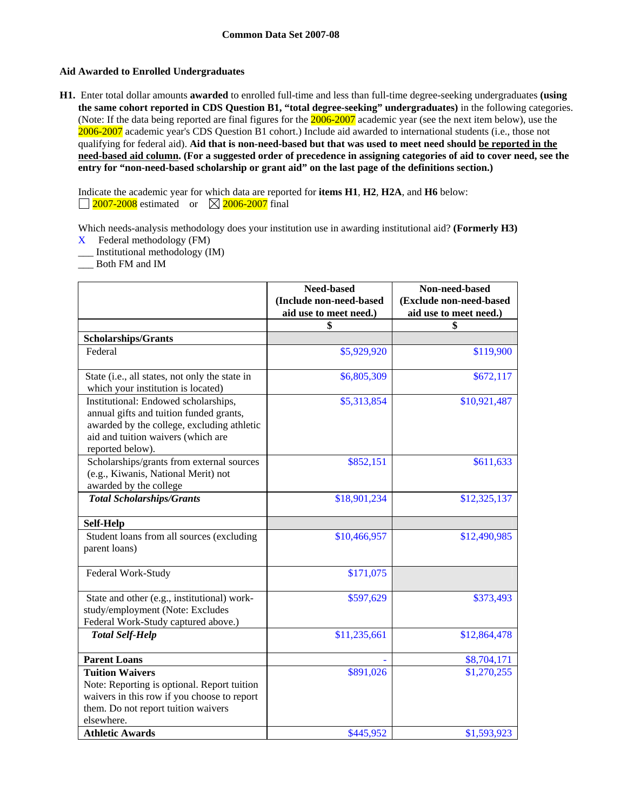## **Aid Awarded to Enrolled Undergraduates**

**H1.** Enter total dollar amounts **awarded** to enrolled full-time and less than full-time degree-seeking undergraduates **(using the same cohort reported in CDS Question B1, "total degree-seeking" undergraduates)** in the following categories. (Note: If the data being reported are final figures for the 2006-2007 academic year (see the next item below), use the 2006-2007 academic year's CDS Question B1 cohort.) Include aid awarded to international students (i.e., those not qualifying for federal aid). **Aid that is non-need-based but that was used to meet need should be reported in the need-based aid column. (For a suggested order of precedence in assigning categories of aid to cover need, see the entry for "non-need-based scholarship or grant aid" on the last page of the definitions section.)** 

Indicate the academic year for which data are reported for **items H1**, **H2**, **H2A**, and **H6** below:  $\Box$  2007-2008 estimated or  $\boxtimes$  2006-2007 final

Which needs-analysis methodology does your institution use in awarding institutional aid? **(Formerly H3)** 

- X Federal methodology (FM)
- \_\_\_ Institutional methodology (IM)
- \_\_\_ Both FM and IM

|                                                                                                                                                                                         | Need-based<br>(Include non-need-based | Non-need-based<br>(Exclude non-need-based |
|-----------------------------------------------------------------------------------------------------------------------------------------------------------------------------------------|---------------------------------------|-------------------------------------------|
|                                                                                                                                                                                         | aid use to meet need.)                | aid use to meet need.)                    |
|                                                                                                                                                                                         | \$                                    | \$                                        |
| <b>Scholarships/Grants</b>                                                                                                                                                              |                                       |                                           |
| Federal                                                                                                                                                                                 | \$5,929,920                           | \$119,900                                 |
| State (i.e., all states, not only the state in<br>which your institution is located)                                                                                                    | \$6,805,309                           | \$672,117                                 |
| Institutional: Endowed scholarships,<br>annual gifts and tuition funded grants,<br>awarded by the college, excluding athletic<br>aid and tuition waivers (which are<br>reported below). | \$5,313,854                           | \$10,921,487                              |
| Scholarships/grants from external sources<br>(e.g., Kiwanis, National Merit) not<br>awarded by the college                                                                              | \$852,151                             | \$611,633                                 |
| <b>Total Scholarships/Grants</b>                                                                                                                                                        | \$18,901,234                          | \$12,325,137                              |
| <b>Self-Help</b>                                                                                                                                                                        |                                       |                                           |
| Student loans from all sources (excluding<br>parent loans)                                                                                                                              | \$10,466,957                          | \$12,490,985                              |
| Federal Work-Study                                                                                                                                                                      | \$171,075                             |                                           |
| State and other (e.g., institutional) work-<br>study/employment (Note: Excludes<br>Federal Work-Study captured above.)                                                                  | \$597,629                             | \$373,493                                 |
| <b>Total Self-Help</b>                                                                                                                                                                  | \$11,235,661                          | \$12,864,478                              |
| <b>Parent Loans</b>                                                                                                                                                                     |                                       | \$8,704,171                               |
| <b>Tuition Waivers</b><br>Note: Reporting is optional. Report tuition<br>waivers in this row if you choose to report<br>them. Do not report tuition waivers<br>elsewhere.               | \$891,026                             | \$1,270,255                               |
| <b>Athletic Awards</b>                                                                                                                                                                  | \$445,952                             | \$1,593,923                               |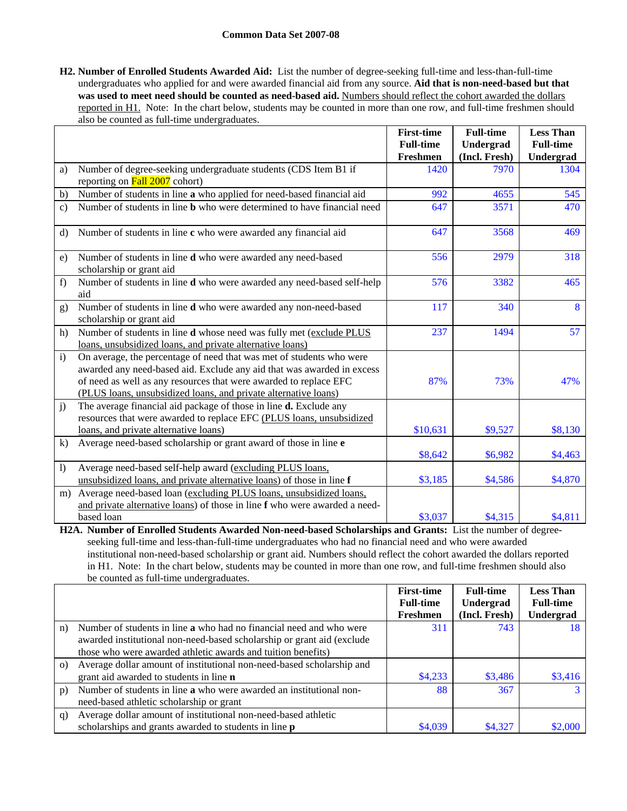**H2. Number of Enrolled Students Awarded Aid:** List the number of degree-seeking full-time and less-than-full-time undergraduates who applied for and were awarded financial aid from any source. **Aid that is non-need-based but that**  was used to meet need should be counted as need-based aid. Numbers should reflect the cohort awarded the dollars reported in H1. Note: In the chart below, students may be counted in more than one row, and full-time freshmen should also be counted as full-time undergraduates.

|                  |                                                                                                                                                                                                                                                                                        | <b>First-time</b> | <b>Full-time</b>      | <b>Less Than</b>  |
|------------------|----------------------------------------------------------------------------------------------------------------------------------------------------------------------------------------------------------------------------------------------------------------------------------------|-------------------|-----------------------|-------------------|
|                  |                                                                                                                                                                                                                                                                                        | <b>Full-time</b>  | Undergrad             | <b>Full-time</b>  |
| a)               | Number of degree-seeking undergraduate students (CDS Item B1 if                                                                                                                                                                                                                        | Freshmen<br>1420  | (Incl. Fresh)<br>7970 | Undergrad<br>1304 |
|                  | reporting on Fall 2007 cohort)                                                                                                                                                                                                                                                         |                   |                       |                   |
| b)               | Number of students in line a who applied for need-based financial aid                                                                                                                                                                                                                  | 992               | 4655                  | 545               |
| $\mathbf{c}$ )   | Number of students in line <b>b</b> who were determined to have financial need                                                                                                                                                                                                         | 647               | 3571                  | 470               |
| $\mathbf{d}$     | Number of students in line c who were awarded any financial aid                                                                                                                                                                                                                        | 647               | 3568                  | 469               |
| e)               | Number of students in line d who were awarded any need-based<br>scholarship or grant aid                                                                                                                                                                                               | 556               | 2979                  | 318               |
| f)               | Number of students in line <b>d</b> who were awarded any need-based self-help<br>aid                                                                                                                                                                                                   | 576               | 3382                  | 465               |
| g)               | Number of students in line d who were awarded any non-need-based<br>scholarship or grant aid                                                                                                                                                                                           | 117               | 340                   | 8                 |
| h)               | Number of students in line d whose need was fully met (exclude PLUS<br>loans, unsubsidized loans, and private alternative loans)                                                                                                                                                       | 237               | 1494                  | 57                |
| $\mathbf{i}$     | On average, the percentage of need that was met of students who were<br>awarded any need-based aid. Exclude any aid that was awarded in excess<br>of need as well as any resources that were awarded to replace EFC<br>(PLUS loans, unsubsidized loans, and private alternative loans) | 87%               | 73%                   | 47%               |
| j)               | The average financial aid package of those in line <b>d.</b> Exclude any<br>resources that were awarded to replace EFC (PLUS loans, unsubsidized<br>loans, and private alternative loans)                                                                                              | \$10,631          | \$9,527               | \$8,130           |
| k)               | Average need-based scholarship or grant award of those in line e                                                                                                                                                                                                                       | \$8,642           | \$6,982               | \$4,463           |
| $\left  \right $ | Average need-based self-help award (excluding PLUS loans,<br>unsubsidized loans, and private alternative loans) of those in line f                                                                                                                                                     | \$3,185           | \$4,586               | \$4,870           |
| m)               | Average need-based loan (excluding PLUS loans, unsubsidized loans,<br>and private alternative loans) of those in line f who were awarded a need-                                                                                                                                       |                   |                       |                   |
|                  | based loan                                                                                                                                                                                                                                                                             | \$3,037           | \$4,315               | \$4,811           |

**H2A. Number of Enrolled Students Awarded Non-need-based Scholarships and Grants:** List the number of degreeseeking full-time and less-than-full-time undergraduates who had no financial need and who were awarded institutional non-need-based scholarship or grant aid. Numbers should reflect the cohort awarded the dollars reported in H1. Note: In the chart below, students may be counted in more than one row, and full-time freshmen should also be counted as full-time undergraduates.

|          |                                                                        | <b>First-time</b> | <b>Full-time</b> | <b>Less Than</b> |
|----------|------------------------------------------------------------------------|-------------------|------------------|------------------|
|          |                                                                        | <b>Full-time</b>  | Undergrad        | <b>Full-time</b> |
|          |                                                                        | Freshmen          | (Incl. Fresh)    | Undergrad        |
| n)       | Number of students in line a who had no financial need and who were    | 311               | 743              | 18               |
|          | awarded institutional non-need-based scholarship or grant aid (exclude |                   |                  |                  |
|          | those who were awarded athletic awards and tuition benefits)           |                   |                  |                  |
| $\Omega$ | Average dollar amount of institutional non-need-based scholarship and  |                   |                  |                  |
|          | grant aid awarded to students in line <b>n</b>                         | \$4,233           | \$3,486          | \$3,416          |
| p)       | Number of students in line a who were awarded an institutional non-    | 88                | 367              | 3                |
|          | need-based athletic scholarship or grant                               |                   |                  |                  |
| q)       | Average dollar amount of institutional non-need-based athletic         |                   |                  |                  |
|          | scholarships and grants awarded to students in line <b>p</b>           | \$4,039           | \$4,327          | \$2,000          |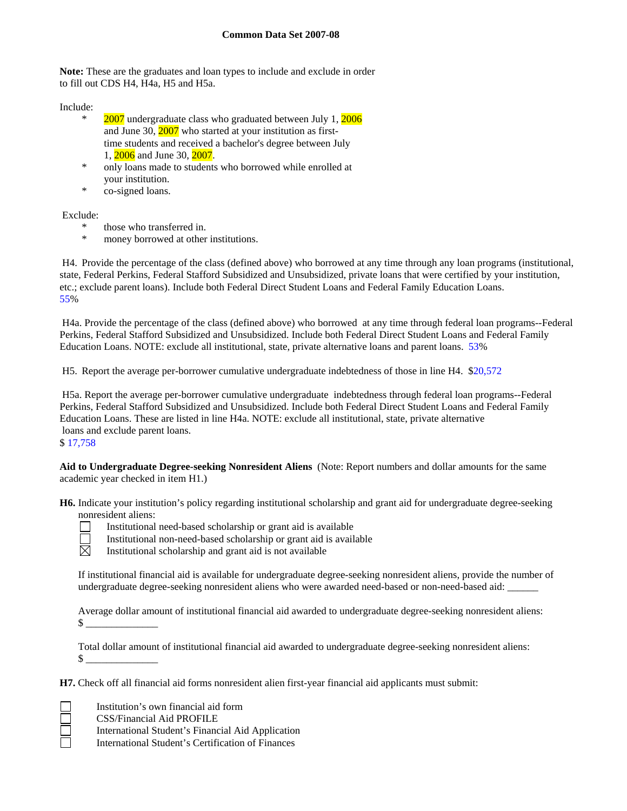**Note:** These are the graduates and loan types to include and exclude in order to fill out CDS H4, H4a, H5 and H5a.

Include:

- $2007$  undergraduate class who graduated between July 1,  $2006$ and June 30, 2007 who started at your institution as first time students and received a bachelor's degree between July 1, 2006 and June 30, 2007.
- only loans made to students who borrowed while enrolled at your institution.
- co-signed loans.

Exclude:

- \* those who transferred in.
- \* money borrowed at other institutions.

 H4. Provide the percentage of the class (defined above) who borrowed at any time through any loan programs (institutional, state, Federal Perkins, Federal Stafford Subsidized and Unsubsidized, private loans that were certified by your institution, etc.; exclude parent loans). Include both Federal Direct Student Loans and Federal Family Education Loans. 55%

 H4a. Provide the percentage of the class (defined above) who borrowed at any time through federal loan programs--Federal Perkins, Federal Stafford Subsidized and Unsubsidized. Include both Federal Direct Student Loans and Federal Family Education Loans. NOTE: exclude all institutional, state, private alternative loans and parent loans. 53%

H5. Report the average per-borrower cumulative undergraduate indebtedness of those in line H4. \$20,572

 H5a. Report the average per-borrower cumulative undergraduate indebtedness through federal loan programs--Federal Perkins, Federal Stafford Subsidized and Unsubsidized. Include both Federal Direct Student Loans and Federal Family Education Loans. These are listed in line H4a. NOTE: exclude all institutional, state, private alternative loans and exclude parent loans.

### \$ 17,758

**Aid to Undergraduate Degree-seeking Nonresident Aliens** (Note: Report numbers and dollar amounts for the same academic year checked in item H1.)

**H6.** Indicate your institution's policy regarding institutional scholarship and grant aid for undergraduate degree-seeking nonresident aliens:



冖

Institutional need-based scholarship or grant aid is available

Institutional non-need-based scholarship or grant aid is available

 $\boxtimes$ Institutional scholarship and grant aid is not available

If institutional financial aid is available for undergraduate degree-seeking nonresident aliens, provide the number of undergraduate degree-seeking nonresident aliens who were awarded need-based or non-need-based aid: \_\_\_\_\_\_

Average dollar amount of institutional financial aid awarded to undergraduate degree-seeking nonresident aliens:  $\mathbb S$ 

Total dollar amount of institutional financial aid awarded to undergraduate degree-seeking nonresident aliens:  $\mathbb{S}$ 

**H7.** Check off all financial aid forms nonresident alien first-year financial aid applicants must submit:

Institution's own financial aid form

CSS/Financial Aid PROFILE

International Student's Financial Aid Application

International Student's Certification of Finances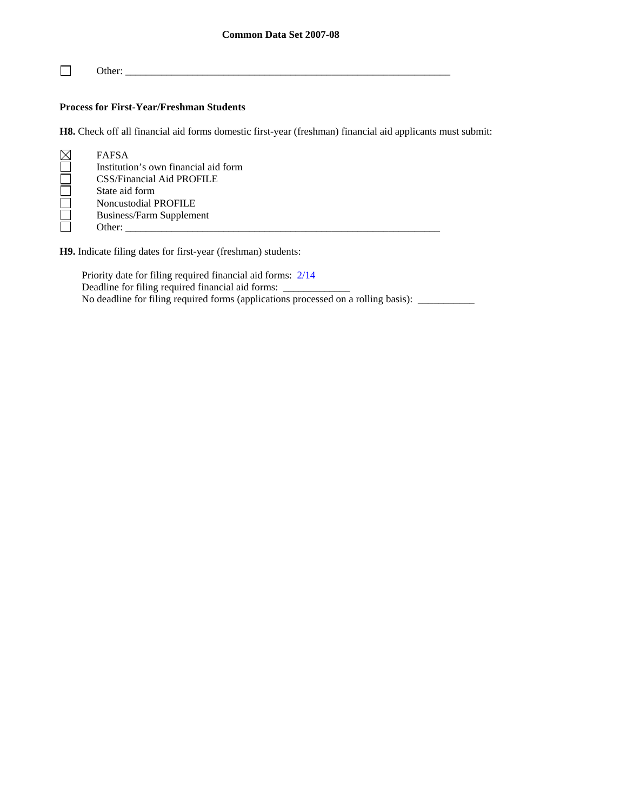$\Box$ Other: \_\_\_\_\_\_\_\_\_\_\_\_\_\_\_\_\_\_\_\_\_\_\_\_\_\_\_\_\_\_\_\_\_\_\_\_\_\_\_\_\_\_\_\_\_\_\_\_\_\_\_\_\_\_\_\_\_\_\_\_\_\_\_

## **Process for First-Year/Freshman Students**

**H8.** Check off all financial aid forms domestic first-year (freshman) financial aid applicants must submit:

| $\boxtimes$ | <b>FAFSA</b>                         |
|-------------|--------------------------------------|
|             | Institution's own financial aid form |
|             | <b>CSS/Financial Aid PROFILE</b>     |
|             | State aid form                       |
|             | <b>Noncustodial PROFILE</b>          |
|             | <b>Business/Farm Supplement</b>      |
|             | Other:                               |
|             |                                      |

**H9.** Indicate filing dates for first-year (freshman) students:

Priority date for filing required financial aid forms: 2/14 Deadline for filing required financial aid forms: No deadline for filing required forms (applications processed on a rolling basis): \_\_\_\_\_\_\_\_\_\_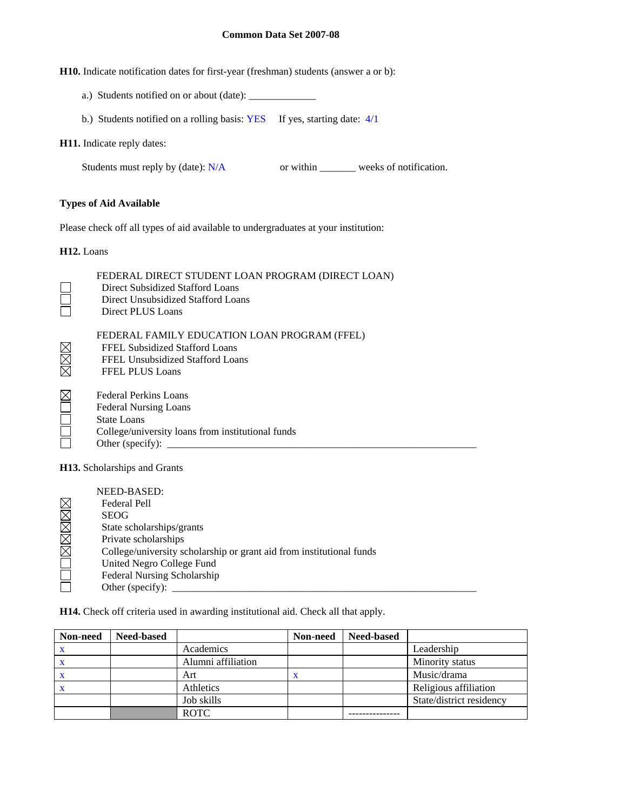**H10.** Indicate notification dates for first-year (freshman) students (answer a or b):

- a.) Students notified on or about (date): \_\_\_\_\_\_\_\_\_\_\_\_\_
- b.) Students notified on a rolling basis: YES If yes, starting date:  $4/1$

### **H11.** Indicate reply dates:

Students must reply by (date): N/A or within \_\_\_\_\_\_\_ weeks of notification.

## **Types of Aid Available**

Please check off all types of aid available to undergraduates at your institution:

**H12.** Loans

| FEDERAL DIRECT STUDENT LOAN PROGRAM (DIRECT LOAN)<br>Direct Subsidized Stafford Loans<br>Direct Unsubsidized Stafford Loans<br>Direct PLUS Loans            |
|-------------------------------------------------------------------------------------------------------------------------------------------------------------|
| FEDERAL FAMILY EDUCATION LOAN PROGRAM (FFEL)<br>FFEL Subsidized Stafford Loans<br>FFEL Unsubsidized Stafford Loans<br><b>FFEL PLUS Loans</b>                |
| Federal Perkins Loans<br><b>Federal Nursing Loans</b><br><b>State Loans</b><br>College/university loans from institutional funds<br>Other (specify): $\_\_$ |
| <b>H13.</b> Scholarships and Grants                                                                                                                         |

| NEED-BASED:                                                          |
|----------------------------------------------------------------------|
| Federal Pell                                                         |
| <b>SEOG</b>                                                          |
| State scholarships/grants                                            |
| Private scholarships                                                 |
| College/university scholarship or grant aid from institutional funds |
| United Negro College Fund                                            |
| Federal Nursing Scholarship                                          |
| Other (specify):                                                     |

**H14.** Check off criteria used in awarding institutional aid. Check all that apply.

| Non-need | <b>Need-based</b> |                    | Non-need | <b>Need-based</b> |                          |
|----------|-------------------|--------------------|----------|-------------------|--------------------------|
|          |                   | Academics          |          |                   | Leadership               |
|          |                   | Alumni affiliation |          |                   | Minority status          |
|          |                   | Art                | X        |                   | Music/drama              |
|          |                   | Athletics          |          |                   | Religious affiliation    |
|          |                   | Job skills         |          |                   | State/district residency |
|          |                   | <b>ROTC</b>        |          |                   |                          |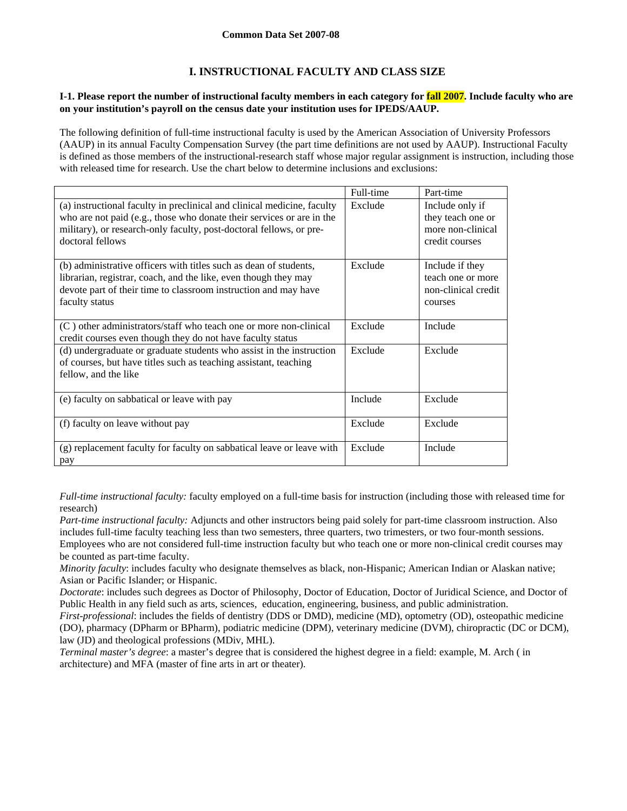## **I. INSTRUCTIONAL FACULTY AND CLASS SIZE**

## **I-1. Please report the number of instructional faculty members in each category for fall 2007. Include faculty who are on your institution's payroll on the census date your institution uses for IPEDS/AAUP.**

The following definition of full-time instructional faculty is used by the American Association of University Professors (AAUP) in its annual Faculty Compensation Survey (the part time definitions are not used by AAUP). Instructional Faculty is defined as those members of the instructional-research staff whose major regular assignment is instruction, including those with released time for research. Use the chart below to determine inclusions and exclusions:

|                                                                                                                                                                                                                                             | Full-time | Part-time                                                                   |
|---------------------------------------------------------------------------------------------------------------------------------------------------------------------------------------------------------------------------------------------|-----------|-----------------------------------------------------------------------------|
| (a) instructional faculty in preclinical and clinical medicine, faculty<br>who are not paid (e.g., those who donate their services or are in the<br>military), or research-only faculty, post-doctoral fellows, or pre-<br>doctoral fellows | Exclude   | Include only if<br>they teach one or<br>more non-clinical<br>credit courses |
| (b) administrative officers with titles such as dean of students,<br>librarian, registrar, coach, and the like, even though they may<br>devote part of their time to classroom instruction and may have<br>faculty status                   | Exclude   | Include if they<br>teach one or more<br>non-clinical credit<br>courses      |
| $(C)$ other administrators/staff who teach one or more non-clinical<br>credit courses even though they do not have faculty status                                                                                                           | Exclude   | Include                                                                     |
| (d) undergraduate or graduate students who assist in the instruction<br>of courses, but have titles such as teaching assistant, teaching<br>fellow, and the like                                                                            | Exclude   | Exclude                                                                     |
| (e) faculty on sabbatical or leave with pay                                                                                                                                                                                                 | Include   | Exclude                                                                     |
| (f) faculty on leave without pay                                                                                                                                                                                                            | Exclude   | Exclude                                                                     |
| (g) replacement faculty for faculty on sabbatical leave or leave with<br>pay                                                                                                                                                                | Exclude   | Include                                                                     |

*Full-time instructional faculty:* faculty employed on a full-time basis for instruction (including those with released time for research)

*Part-time instructional faculty:* Adjuncts and other instructors being paid solely for part-time classroom instruction. Also includes full-time faculty teaching less than two semesters, three quarters, two trimesters, or two four-month sessions. Employees who are not considered full-time instruction faculty but who teach one or more non-clinical credit courses may be counted as part-time faculty.

*Minority faculty*: includes faculty who designate themselves as black, non-Hispanic; American Indian or Alaskan native; Asian or Pacific Islander; or Hispanic.

*Doctorate*: includes such degrees as Doctor of Philosophy, Doctor of Education, Doctor of Juridical Science, and Doctor of Public Health in any field such as arts, sciences, education, engineering, business, and public administration.

*First-professional*: includes the fields of dentistry (DDS or DMD), medicine (MD), optometry (OD), osteopathic medicine (DO), pharmacy (DPharm or BPharm), podiatric medicine (DPM), veterinary medicine (DVM), chiropractic (DC or DCM), law (JD) and theological professions (MDiv, MHL).

*Terminal master's degree*: a master's degree that is considered the highest degree in a field: example, M. Arch ( in architecture) and MFA (master of fine arts in art or theater).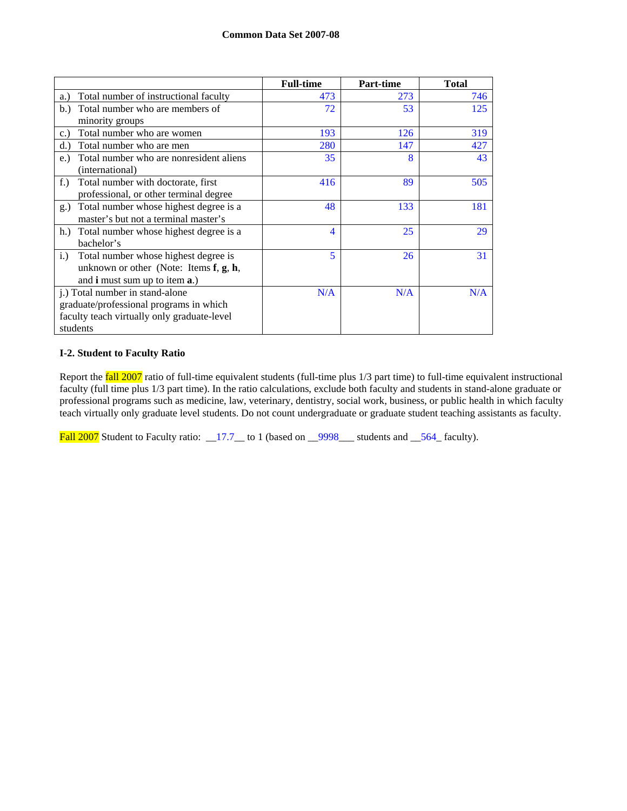|                                                | <b>Full-time</b> | Part-time | <b>Total</b> |
|------------------------------------------------|------------------|-----------|--------------|
| Total number of instructional faculty<br>a.)   | 473              | 273       | 746          |
| Total number who are members of<br>b.          | 72               | 53        | 125          |
| minority groups                                |                  |           |              |
| Total number who are women<br>c.               | 193              | 126       | 319          |
| Total number who are men<br>d.                 | 280              | 147       | 427          |
| Total number who are nonresident aliens<br>e.) | 35               | 8         | 43           |
| (international)                                |                  |           |              |
| $f$ .)<br>Total number with doctorate, first   | 416              | 89        | 505          |
| professional, or other terminal degree         |                  |           |              |
| Total number whose highest degree is a<br>g.)  | 48               | 133       | 181          |
| master's but not a terminal master's           |                  |           |              |
| Total number whose highest degree is a<br>h.   | 4                | 25        | 29           |
| bachelor's                                     |                  |           |              |
| Total number whose highest degree is<br>i.)    | 5                | 26        | 31           |
| unknown or other (Note: Items $f, g, h$ ,      |                  |           |              |
| and <b>i</b> must sum up to item <b>a</b> .)   |                  |           |              |
| j.) Total number in stand-alone                | N/A              | N/A       | N/A          |
| graduate/professional programs in which        |                  |           |              |
| faculty teach virtually only graduate-level    |                  |           |              |
| students                                       |                  |           |              |

## **I-2. Student to Faculty Ratio**

Report the **fall 2007** ratio of full-time equivalent students (full-time plus 1/3 part time) to full-time equivalent instructional faculty (full time plus 1/3 part time). In the ratio calculations, exclude both faculty and students in stand-alone graduate or professional programs such as medicine, law, veterinary, dentistry, social work, business, or public health in which faculty teach virtually only graduate level students. Do not count undergraduate or graduate student teaching assistants as faculty.

Fall 2007 Student to Faculty ratio: \_17.7\_to 1 (based on \_9998\_\_\_ students and \_564\_faculty).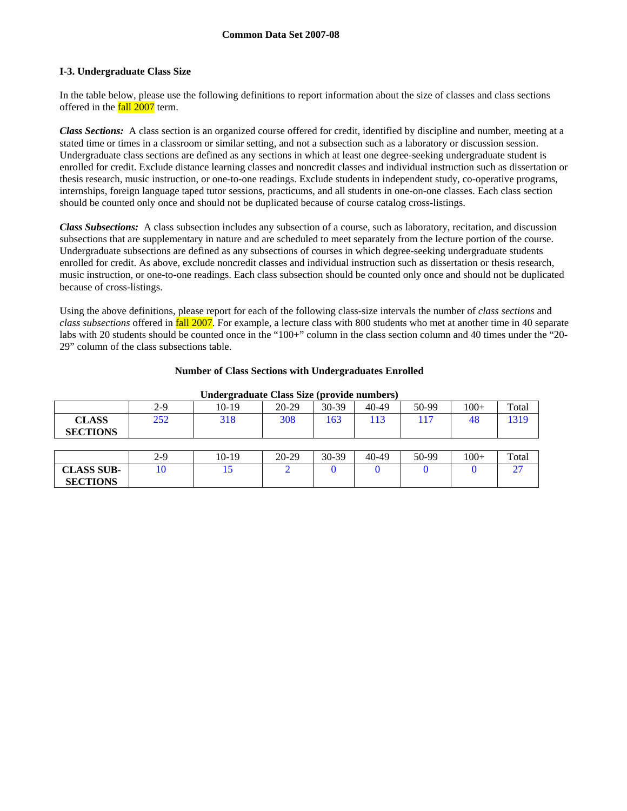### **I-3. Undergraduate Class Size**

In the table below, please use the following definitions to report information about the size of classes and class sections offered in the fall 2007 term.

*Class Sections:* A class section is an organized course offered for credit, identified by discipline and number, meeting at a stated time or times in a classroom or similar setting, and not a subsection such as a laboratory or discussion session. Undergraduate class sections are defined as any sections in which at least one degree-seeking undergraduate student is enrolled for credit. Exclude distance learning classes and noncredit classes and individual instruction such as dissertation or thesis research, music instruction, or one-to-one readings. Exclude students in independent study, co-operative programs, internships, foreign language taped tutor sessions, practicums, and all students in one-on-one classes. Each class section should be counted only once and should not be duplicated because of course catalog cross-listings.

*Class Subsections:* A class subsection includes any subsection of a course, such as laboratory, recitation, and discussion subsections that are supplementary in nature and are scheduled to meet separately from the lecture portion of the course. Undergraduate subsections are defined as any subsections of courses in which degree-seeking undergraduate students enrolled for credit. As above, exclude noncredit classes and individual instruction such as dissertation or thesis research, music instruction, or one-to-one readings. Each class subsection should be counted only once and should not be duplicated because of cross-listings.

Using the above definitions, please report for each of the following class-size intervals the number of *class sections* and *class subsections* offered in fall 2007. For example, a lecture class with 800 students who met at another time in 40 separate labs with 20 students should be counted once in the "100+" column in the class section column and 40 times under the "20-29" column of the class subsections table.

### **Number of Class Sections with Undergraduates Enrolled**

| --------          |       |         |         |       |       |       |        |       |
|-------------------|-------|---------|---------|-------|-------|-------|--------|-------|
|                   | $2-9$ | $10-19$ | 20-29   | 30-39 | 40-49 | 50-99 | $100+$ | Total |
| <b>CLASS</b>      | 252   | 318     | 308     | 163   | 113   | 117   | 48     | 1319  |
| <b>SECTIONS</b>   |       |         |         |       |       |       |        |       |
|                   |       |         |         |       |       |       |        |       |
|                   | $2-9$ | $10-19$ | $20-29$ | 30-39 | 40-49 | 50-99 | $100+$ | Total |
| <b>CLASS SUB-</b> | 10    | 15      |         |       |       |       |        | 27    |
| <b>SECTIONS</b>   |       |         |         |       |       |       |        |       |

#### **Undergraduate Class Size (provide numbers)**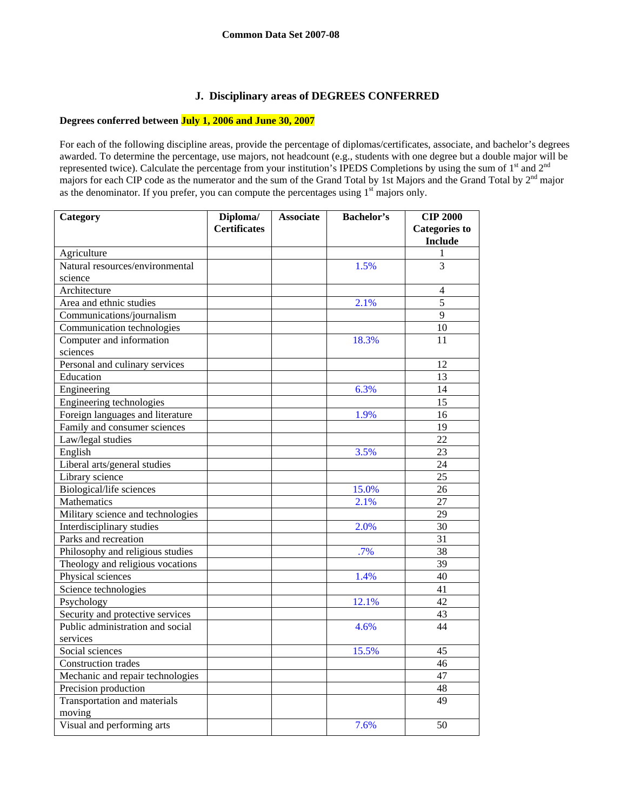## **J. Disciplinary areas of DEGREES CONFERRED**

## **Degrees conferred between July 1, 2006 and June 30, 2007**

For each of the following discipline areas, provide the percentage of diplomas/certificates, associate, and bachelor's degrees awarded. To determine the percentage, use majors, not headcount (e.g., students with one degree but a double major will be represented twice). Calculate the percentage from your institution's IPEDS Completions by using the sum of 1<sup>st</sup> and 2<sup>nd</sup> majors for each CIP code as the numerator and the sum of the Grand Total by 1st Majors and the Grand Total by 2<sup>nd</sup> major as the denominator. If you prefer, you can compute the percentages using  $1<sup>st</sup>$  majors only.

| Category                          | Diploma/            | <b>Associate</b> | <b>Bachelor's</b> | <b>CIP 2000</b>      |
|-----------------------------------|---------------------|------------------|-------------------|----------------------|
|                                   | <b>Certificates</b> |                  |                   | <b>Categories</b> to |
|                                   |                     |                  |                   | <b>Include</b>       |
| Agriculture                       |                     |                  |                   | 1                    |
| Natural resources/environmental   |                     |                  | 1.5%              | 3                    |
| science                           |                     |                  |                   |                      |
| Architecture                      |                     |                  |                   | $\overline{4}$       |
| Area and ethnic studies           |                     |                  | 2.1%              | 5                    |
| Communications/journalism         |                     |                  |                   | 9                    |
| Communication technologies        |                     |                  |                   | 10                   |
| Computer and information          |                     |                  | 18.3%             | 11                   |
| sciences                          |                     |                  |                   |                      |
| Personal and culinary services    |                     |                  |                   | 12                   |
| Education                         |                     |                  |                   | 13                   |
| Engineering                       |                     |                  | 6.3%              | 14                   |
| Engineering technologies          |                     |                  |                   | 15                   |
| Foreign languages and literature  |                     |                  | 1.9%              | 16                   |
| Family and consumer sciences      |                     |                  |                   | 19                   |
| Law/legal studies                 |                     |                  |                   | 22                   |
| English                           |                     |                  | 3.5%              | 23                   |
| Liberal arts/general studies      |                     |                  |                   | 24                   |
| Library science                   |                     |                  |                   | 25                   |
| Biological/life sciences          |                     |                  | 15.0%             | 26                   |
| Mathematics                       |                     |                  | 2.1%              | 27                   |
| Military science and technologies |                     |                  |                   | 29                   |
| Interdisciplinary studies         |                     |                  | 2.0%              | 30                   |
| Parks and recreation              |                     |                  |                   | 31                   |
| Philosophy and religious studies  |                     |                  | .7%               | 38                   |
| Theology and religious vocations  |                     |                  |                   | 39                   |
| Physical sciences                 |                     |                  | 1.4%              | 40                   |
| Science technologies              |                     |                  |                   | 41                   |
| Psychology                        |                     |                  | 12.1%             | 42                   |
| Security and protective services  |                     |                  |                   | 43                   |
| Public administration and social  |                     |                  | 4.6%              | 44                   |
| services                          |                     |                  |                   |                      |
| Social sciences                   |                     |                  | 15.5%             | 45                   |
| Construction trades               |                     |                  |                   | 46                   |
| Mechanic and repair technologies  |                     |                  |                   | 47                   |
| Precision production              |                     |                  |                   | 48                   |
| Transportation and materials      |                     |                  |                   | 49                   |
| moving                            |                     |                  |                   |                      |
| Visual and performing arts        |                     |                  | 7.6%              | 50                   |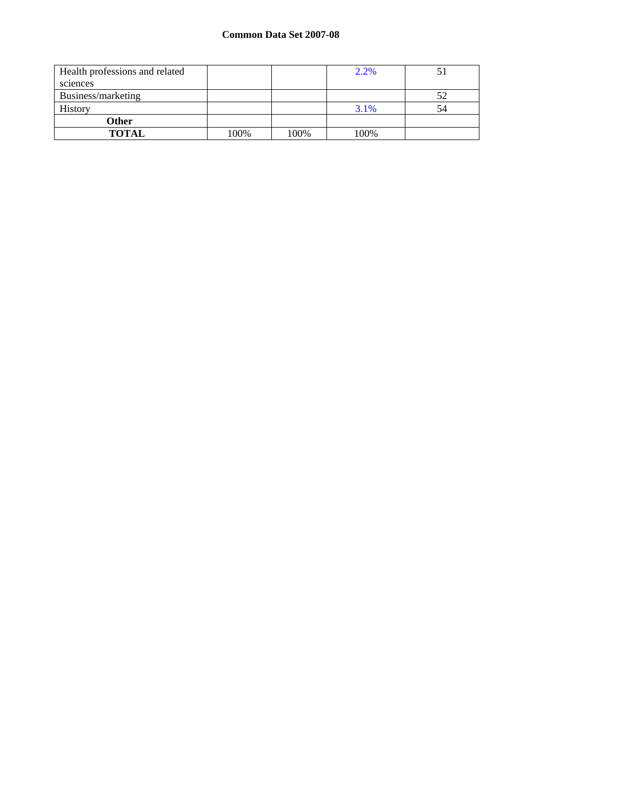| Health professions and related |      |      | 2.2% |    |
|--------------------------------|------|------|------|----|
| sciences                       |      |      |      |    |
| Business/marketing             |      |      |      | 52 |
| History                        |      |      | 3.1% | 54 |
| <b>Other</b>                   |      |      |      |    |
| <b>TOTAL</b>                   | 100% | 100% | 100% |    |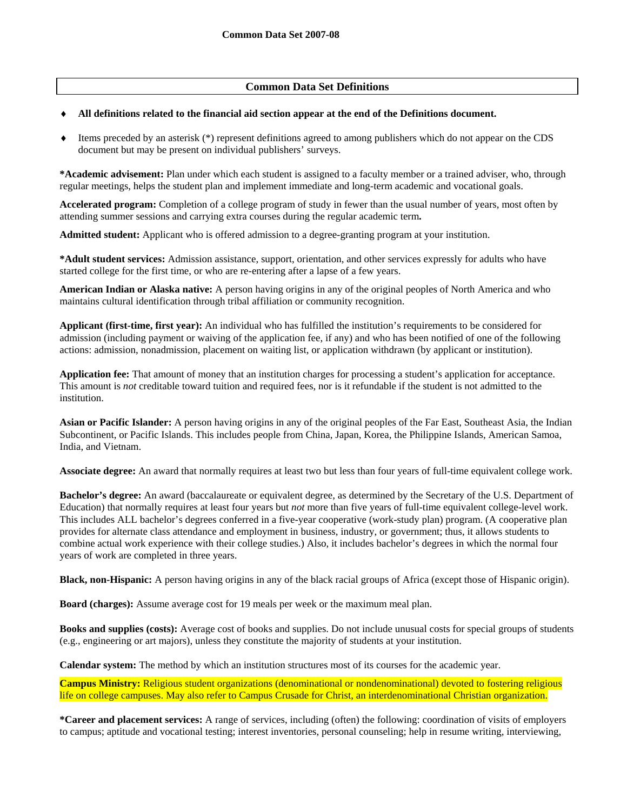## **Common Data Set Definitions**

### ♦ **All definitions related to the financial aid section appear at the end of the Definitions document.**

♦ Items preceded by an asterisk (\*) represent definitions agreed to among publishers which do not appear on the CDS document but may be present on individual publishers' surveys.

**\*Academic advisement:** Plan under which each student is assigned to a faculty member or a trained adviser, who, through regular meetings, helps the student plan and implement immediate and long-term academic and vocational goals.

**Accelerated program:** Completion of a college program of study in fewer than the usual number of years, most often by attending summer sessions and carrying extra courses during the regular academic term**.** 

**Admitted student:** Applicant who is offered admission to a degree-granting program at your institution.

**\*Adult student services:** Admission assistance, support, orientation, and other services expressly for adults who have started college for the first time, or who are re-entering after a lapse of a few years.

**American Indian or Alaska native:** A person having origins in any of the original peoples of North America and who maintains cultural identification through tribal affiliation or community recognition.

**Applicant (first-time, first year):** An individual who has fulfilled the institution's requirements to be considered for admission (including payment or waiving of the application fee, if any) and who has been notified of one of the following actions: admission, nonadmission, placement on waiting list, or application withdrawn (by applicant or institution).

**Application fee:** That amount of money that an institution charges for processing a student's application for acceptance. This amount is *not* creditable toward tuition and required fees, nor is it refundable if the student is not admitted to the institution.

**Asian or Pacific Islander:** A person having origins in any of the original peoples of the Far East, Southeast Asia, the Indian Subcontinent, or Pacific Islands. This includes people from China, Japan, Korea, the Philippine Islands, American Samoa, India, and Vietnam.

**Associate degree:** An award that normally requires at least two but less than four years of full-time equivalent college work.

**Bachelor's degree:** An award (baccalaureate or equivalent degree, as determined by the Secretary of the U.S. Department of Education) that normally requires at least four years but *not* more than five years of full-time equivalent college-level work. This includes ALL bachelor's degrees conferred in a five-year cooperative (work-study plan) program. (A cooperative plan provides for alternate class attendance and employment in business, industry, or government; thus, it allows students to combine actual work experience with their college studies.) Also, it includes bachelor's degrees in which the normal four years of work are completed in three years.

**Black, non-Hispanic:** A person having origins in any of the black racial groups of Africa (except those of Hispanic origin).

**Board (charges):** Assume average cost for 19 meals per week or the maximum meal plan.

**Books and supplies (costs):** Average cost of books and supplies. Do not include unusual costs for special groups of students (e.g., engineering or art majors), unless they constitute the majority of students at your institution.

**Calendar system:** The method by which an institution structures most of its courses for the academic year.

**Campus Ministry:** Religious student organizations (denominational or nondenominational) devoted to fostering religious life on college campuses. May also refer to Campus Crusade for Christ, an interdenominational Christian organization.

**\*Career and placement services:** A range of services, including (often) the following: coordination of visits of employers to campus; aptitude and vocational testing; interest inventories, personal counseling; help in resume writing, interviewing,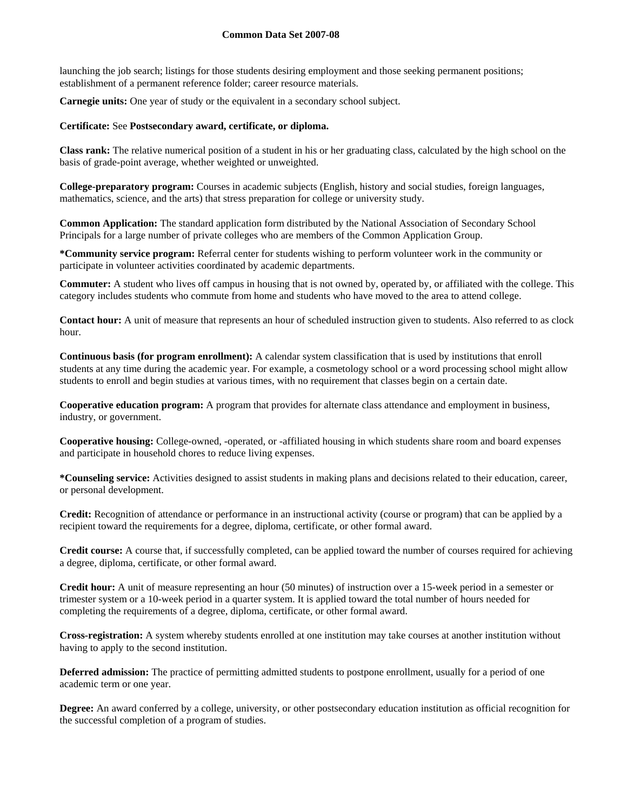launching the job search; listings for those students desiring employment and those seeking permanent positions; establishment of a permanent reference folder; career resource materials.

**Carnegie units:** One year of study or the equivalent in a secondary school subject.

### **Certificate:** See **Postsecondary award, certificate, or diploma.**

**Class rank:** The relative numerical position of a student in his or her graduating class, calculated by the high school on the basis of grade-point average, whether weighted or unweighted.

**College-preparatory program:** Courses in academic subjects (English, history and social studies, foreign languages, mathematics, science, and the arts) that stress preparation for college or university study.

**Common Application:** The standard application form distributed by the National Association of Secondary School Principals for a large number of private colleges who are members of the Common Application Group.

**\*Community service program:** Referral center for students wishing to perform volunteer work in the community or participate in volunteer activities coordinated by academic departments.

**Commuter:** A student who lives off campus in housing that is not owned by, operated by, or affiliated with the college. This category includes students who commute from home and students who have moved to the area to attend college.

**Contact hour:** A unit of measure that represents an hour of scheduled instruction given to students. Also referred to as clock hour.

**Continuous basis (for program enrollment):** A calendar system classification that is used by institutions that enroll students at any time during the academic year. For example, a cosmetology school or a word processing school might allow students to enroll and begin studies at various times, with no requirement that classes begin on a certain date.

**Cooperative education program:** A program that provides for alternate class attendance and employment in business, industry, or government.

**Cooperative housing:** College-owned, -operated, or -affiliated housing in which students share room and board expenses and participate in household chores to reduce living expenses.

**\*Counseling service:** Activities designed to assist students in making plans and decisions related to their education, career, or personal development.

**Credit:** Recognition of attendance or performance in an instructional activity (course or program) that can be applied by a recipient toward the requirements for a degree, diploma, certificate, or other formal award.

**Credit course:** A course that, if successfully completed, can be applied toward the number of courses required for achieving a degree, diploma, certificate, or other formal award.

**Credit hour:** A unit of measure representing an hour (50 minutes) of instruction over a 15-week period in a semester or trimester system or a 10-week period in a quarter system. It is applied toward the total number of hours needed for completing the requirements of a degree, diploma, certificate, or other formal award.

**Cross-registration:** A system whereby students enrolled at one institution may take courses at another institution without having to apply to the second institution.

**Deferred admission:** The practice of permitting admitted students to postpone enrollment, usually for a period of one academic term or one year.

**Degree:** An award conferred by a college, university, or other postsecondary education institution as official recognition for the successful completion of a program of studies.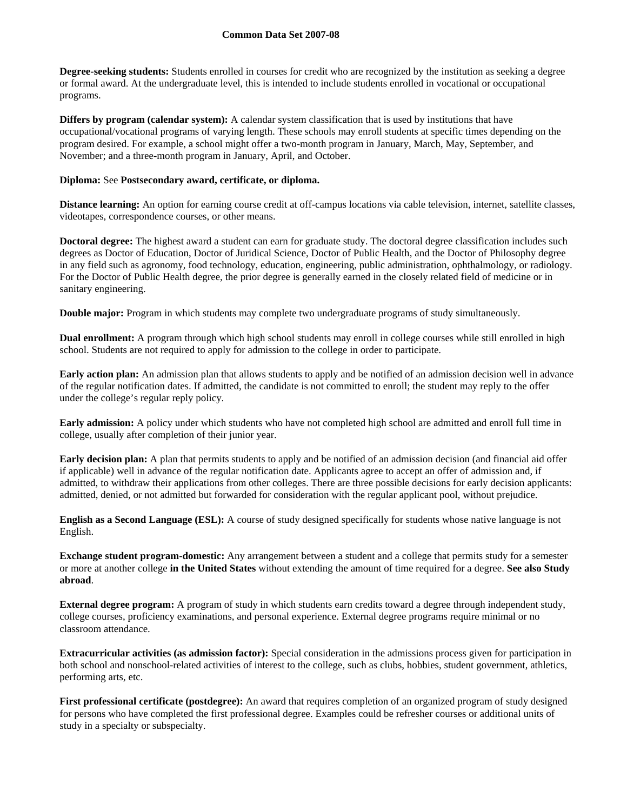**Degree-seeking students:** Students enrolled in courses for credit who are recognized by the institution as seeking a degree or formal award. At the undergraduate level, this is intended to include students enrolled in vocational or occupational programs.

**Differs by program (calendar system):** A calendar system classification that is used by institutions that have occupational/vocational programs of varying length. These schools may enroll students at specific times depending on the program desired. For example, a school might offer a two-month program in January, March, May, September, and November; and a three-month program in January, April, and October.

### **Diploma:** See **Postsecondary award, certificate, or diploma.**

**Distance learning:** An option for earning course credit at off-campus locations via cable television, internet, satellite classes, videotapes, correspondence courses, or other means.

**Doctoral degree:** The highest award a student can earn for graduate study. The doctoral degree classification includes such degrees as Doctor of Education, Doctor of Juridical Science, Doctor of Public Health, and the Doctor of Philosophy degree in any field such as agronomy, food technology, education, engineering, public administration, ophthalmology, or radiology. For the Doctor of Public Health degree, the prior degree is generally earned in the closely related field of medicine or in sanitary engineering.

**Double major:** Program in which students may complete two undergraduate programs of study simultaneously.

**Dual enrollment:** A program through which high school students may enroll in college courses while still enrolled in high school. Students are not required to apply for admission to the college in order to participate.

**Early action plan:** An admission plan that allows students to apply and be notified of an admission decision well in advance of the regular notification dates. If admitted, the candidate is not committed to enroll; the student may reply to the offer under the college's regular reply policy.

**Early admission:** A policy under which students who have not completed high school are admitted and enroll full time in college, usually after completion of their junior year.

**Early decision plan:** A plan that permits students to apply and be notified of an admission decision (and financial aid offer if applicable) well in advance of the regular notification date. Applicants agree to accept an offer of admission and, if admitted, to withdraw their applications from other colleges. There are three possible decisions for early decision applicants: admitted, denied, or not admitted but forwarded for consideration with the regular applicant pool, without prejudice.

**English as a Second Language (ESL):** A course of study designed specifically for students whose native language is not English.

**Exchange student program-domestic:** Any arrangement between a student and a college that permits study for a semester or more at another college **in the United States** without extending the amount of time required for a degree. **See also Study abroad**.

**External degree program:** A program of study in which students earn credits toward a degree through independent study, college courses, proficiency examinations, and personal experience. External degree programs require minimal or no classroom attendance.

**Extracurricular activities (as admission factor):** Special consideration in the admissions process given for participation in both school and nonschool-related activities of interest to the college, such as clubs, hobbies, student government, athletics, performing arts, etc.

**First professional certificate (postdegree):** An award that requires completion of an organized program of study designed for persons who have completed the first professional degree. Examples could be refresher courses or additional units of study in a specialty or subspecialty.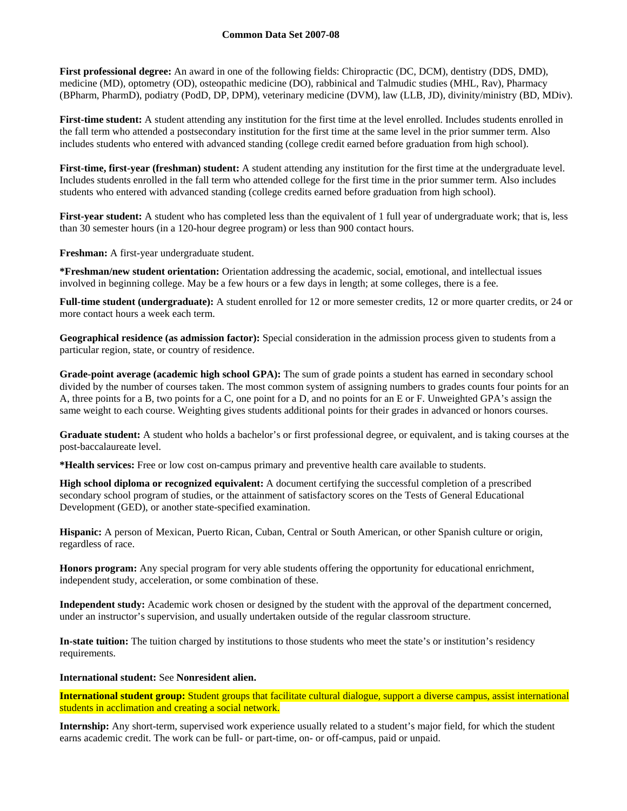**First professional degree:** An award in one of the following fields: Chiropractic (DC, DCM), dentistry (DDS, DMD), medicine (MD), optometry (OD), osteopathic medicine (DO), rabbinical and Talmudic studies (MHL, Rav), Pharmacy (BPharm, PharmD), podiatry (PodD, DP, DPM), veterinary medicine (DVM), law (LLB, JD), divinity/ministry (BD, MDiv).

**First-time student:** A student attending any institution for the first time at the level enrolled. Includes students enrolled in the fall term who attended a postsecondary institution for the first time at the same level in the prior summer term. Also includes students who entered with advanced standing (college credit earned before graduation from high school).

**First-time, first-year (freshman) student:** A student attending any institution for the first time at the undergraduate level. Includes students enrolled in the fall term who attended college for the first time in the prior summer term. Also includes students who entered with advanced standing (college credits earned before graduation from high school).

**First-year student:** A student who has completed less than the equivalent of 1 full year of undergraduate work; that is, less than 30 semester hours (in a 120-hour degree program) or less than 900 contact hours.

**Freshman:** A first-year undergraduate student.

**\*Freshman/new student orientation:** Orientation addressing the academic, social, emotional, and intellectual issues involved in beginning college. May be a few hours or a few days in length; at some colleges, there is a fee.

**Full-time student (undergraduate):** A student enrolled for 12 or more semester credits, 12 or more quarter credits, or 24 or more contact hours a week each term.

**Geographical residence (as admission factor):** Special consideration in the admission process given to students from a particular region, state, or country of residence.

**Grade-point average (academic high school GPA):** The sum of grade points a student has earned in secondary school divided by the number of courses taken. The most common system of assigning numbers to grades counts four points for an A, three points for a B, two points for a C, one point for a D, and no points for an E or F. Unweighted GPA's assign the same weight to each course. Weighting gives students additional points for their grades in advanced or honors courses.

**Graduate student:** A student who holds a bachelor's or first professional degree, or equivalent, and is taking courses at the post-baccalaureate level.

**\*Health services:** Free or low cost on-campus primary and preventive health care available to students.

**High school diploma or recognized equivalent:** A document certifying the successful completion of a prescribed secondary school program of studies, or the attainment of satisfactory scores on the Tests of General Educational Development (GED), or another state-specified examination.

**Hispanic:** A person of Mexican, Puerto Rican, Cuban, Central or South American, or other Spanish culture or origin, regardless of race.

**Honors program:** Any special program for very able students offering the opportunity for educational enrichment, independent study, acceleration, or some combination of these.

**Independent study:** Academic work chosen or designed by the student with the approval of the department concerned, under an instructor's supervision, and usually undertaken outside of the regular classroom structure.

**In-state tuition:** The tuition charged by institutions to those students who meet the state's or institution's residency requirements.

### **International student:** See **Nonresident alien.**

**International student group:** Student groups that facilitate cultural dialogue, support a diverse campus, assist international students in acclimation and creating a social network.

**Internship:** Any short-term, supervised work experience usually related to a student's major field, for which the student earns academic credit. The work can be full- or part-time, on- or off-campus, paid or unpaid.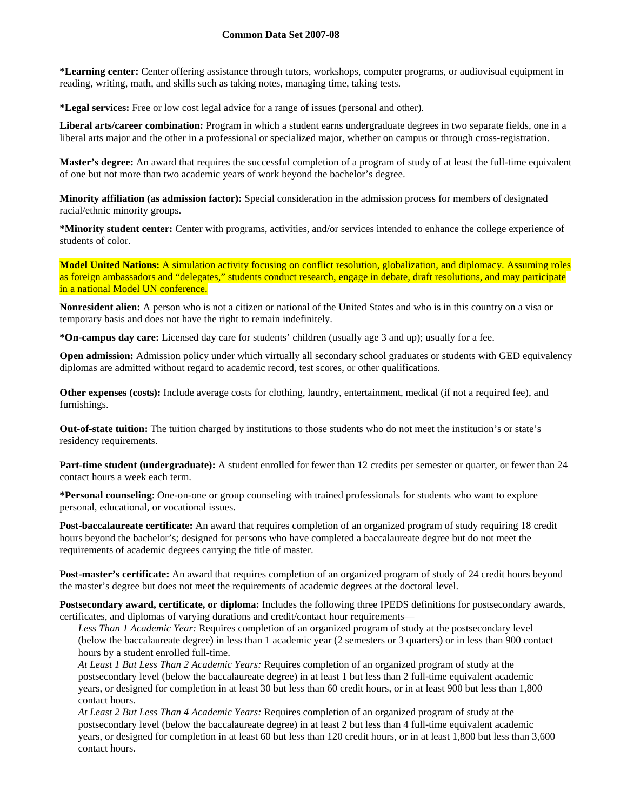**\*Learning center:** Center offering assistance through tutors, workshops, computer programs, or audiovisual equipment in reading, writing, math, and skills such as taking notes, managing time, taking tests.

**\*Legal services:** Free or low cost legal advice for a range of issues (personal and other).

**Liberal arts/career combination:** Program in which a student earns undergraduate degrees in two separate fields, one in a liberal arts major and the other in a professional or specialized major, whether on campus or through cross-registration.

**Master's degree:** An award that requires the successful completion of a program of study of at least the full-time equivalent of one but not more than two academic years of work beyond the bachelor's degree.

**Minority affiliation (as admission factor):** Special consideration in the admission process for members of designated racial/ethnic minority groups.

**\*Minority student center:** Center with programs, activities, and/or services intended to enhance the college experience of students of color.

**Model United Nations:** A simulation activity focusing on conflict resolution, globalization, and diplomacy. Assuming roles as foreign ambassadors and "delegates," students conduct research, engage in debate, draft resolutions, and may participate in a national Model UN conference.

**Nonresident alien:** A person who is not a citizen or national of the United States and who is in this country on a visa or temporary basis and does not have the right to remain indefinitely.

**\*On-campus day care:** Licensed day care for students' children (usually age 3 and up); usually for a fee.

**Open admission:** Admission policy under which virtually all secondary school graduates or students with GED equivalency diplomas are admitted without regard to academic record, test scores, or other qualifications.

**Other expenses (costs):** Include average costs for clothing, laundry, entertainment, medical (if not a required fee), and furnishings.

**Out-of-state tuition:** The tuition charged by institutions to those students who do not meet the institution's or state's residency requirements.

**Part-time student (undergraduate):** A student enrolled for fewer than 12 credits per semester or quarter, or fewer than 24 contact hours a week each term.

**\*Personal counseling**: One-on-one or group counseling with trained professionals for students who want to explore personal, educational, or vocational issues.

**Post-baccalaureate certificate:** An award that requires completion of an organized program of study requiring 18 credit hours beyond the bachelor's; designed for persons who have completed a baccalaureate degree but do not meet the requirements of academic degrees carrying the title of master.

**Post-master's certificate:** An award that requires completion of an organized program of study of 24 credit hours beyond the master's degree but does not meet the requirements of academic degrees at the doctoral level.

**Postsecondary award, certificate, or diploma:** Includes the following three IPEDS definitions for postsecondary awards, certificates, and diplomas of varying durations and credit/contact hour requirements—

*Less Than 1 Academic Year:* Requires completion of an organized program of study at the postsecondary level (below the baccalaureate degree) in less than 1 academic year (2 semesters or 3 quarters) or in less than 900 contact hours by a student enrolled full-time.

*At Least 1 But Less Than 2 Academic Years:* Requires completion of an organized program of study at the postsecondary level (below the baccalaureate degree) in at least 1 but less than 2 full-time equivalent academic years, or designed for completion in at least 30 but less than 60 credit hours, or in at least 900 but less than 1,800 contact hours.

*At Least 2 But Less Than 4 Academic Years:* Requires completion of an organized program of study at the postsecondary level (below the baccalaureate degree) in at least 2 but less than 4 full-time equivalent academic years, or designed for completion in at least 60 but less than 120 credit hours, or in at least 1,800 but less than 3,600 contact hours.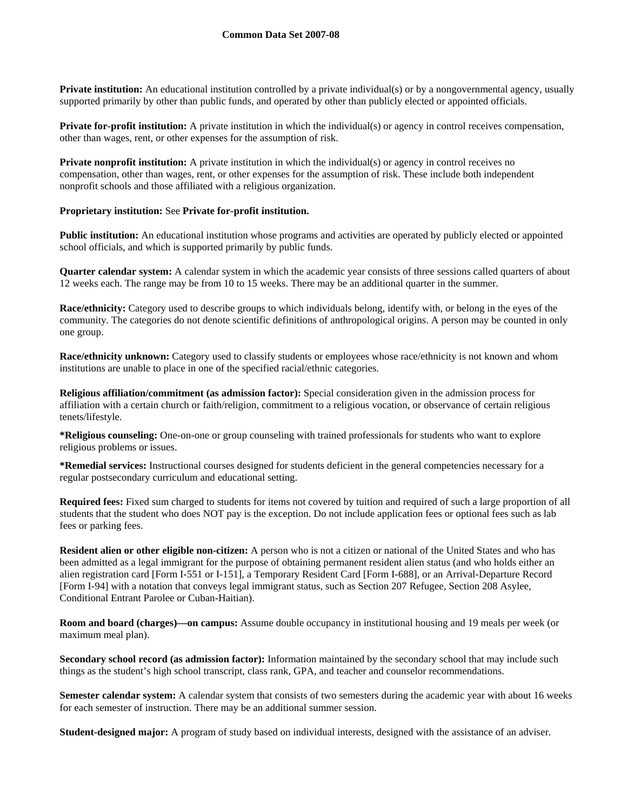**Private institution:** An educational institution controlled by a private individual(s) or by a nongovernmental agency, usually supported primarily by other than public funds, and operated by other than publicly elected or appointed officials.

**Private for-profit institution:** A private institution in which the individual(s) or agency in control receives compensation, other than wages, rent, or other expenses for the assumption of risk.

**Private nonprofit institution:** A private institution in which the individual(s) or agency in control receives no compensation, other than wages, rent, or other expenses for the assumption of risk. These include both independent nonprofit schools and those affiliated with a religious organization.

### **Proprietary institution:** See **Private for-profit institution.**

**Public institution:** An educational institution whose programs and activities are operated by publicly elected or appointed school officials, and which is supported primarily by public funds.

**Quarter calendar system:** A calendar system in which the academic year consists of three sessions called quarters of about 12 weeks each. The range may be from 10 to 15 weeks. There may be an additional quarter in the summer.

**Race/ethnicity:** Category used to describe groups to which individuals belong, identify with, or belong in the eyes of the community. The categories do not denote scientific definitions of anthropological origins. A person may be counted in only one group.

**Race/ethnicity unknown:** Category used to classify students or employees whose race/ethnicity is not known and whom institutions are unable to place in one of the specified racial/ethnic categories.

**Religious affiliation/commitment (as admission factor):** Special consideration given in the admission process for affiliation with a certain church or faith/religion, commitment to a religious vocation, or observance of certain religious tenets/lifestyle.

**\*Religious counseling:** One-on-one or group counseling with trained professionals for students who want to explore religious problems or issues.

**\*Remedial services:** Instructional courses designed for students deficient in the general competencies necessary for a regular postsecondary curriculum and educational setting.

**Required fees:** Fixed sum charged to students for items not covered by tuition and required of such a large proportion of all students that the student who does NOT pay is the exception. Do not include application fees or optional fees such as lab fees or parking fees.

**Resident alien or other eligible non-citizen:** A person who is not a citizen or national of the United States and who has been admitted as a legal immigrant for the purpose of obtaining permanent resident alien status (and who holds either an alien registration card [Form I-551 or I-151], a Temporary Resident Card [Form I-688], or an Arrival-Departure Record [Form I-94] with a notation that conveys legal immigrant status, such as Section 207 Refugee, Section 208 Asylee, Conditional Entrant Parolee or Cuban-Haitian).

**Room and board (charges)—on campus:** Assume double occupancy in institutional housing and 19 meals per week (or maximum meal plan).

**Secondary school record (as admission factor):** Information maintained by the secondary school that may include such things as the student's high school transcript, class rank, GPA, and teacher and counselor recommendations.

**Semester calendar system:** A calendar system that consists of two semesters during the academic year with about 16 weeks for each semester of instruction. There may be an additional summer session.

**Student-designed major:** A program of study based on individual interests, designed with the assistance of an adviser.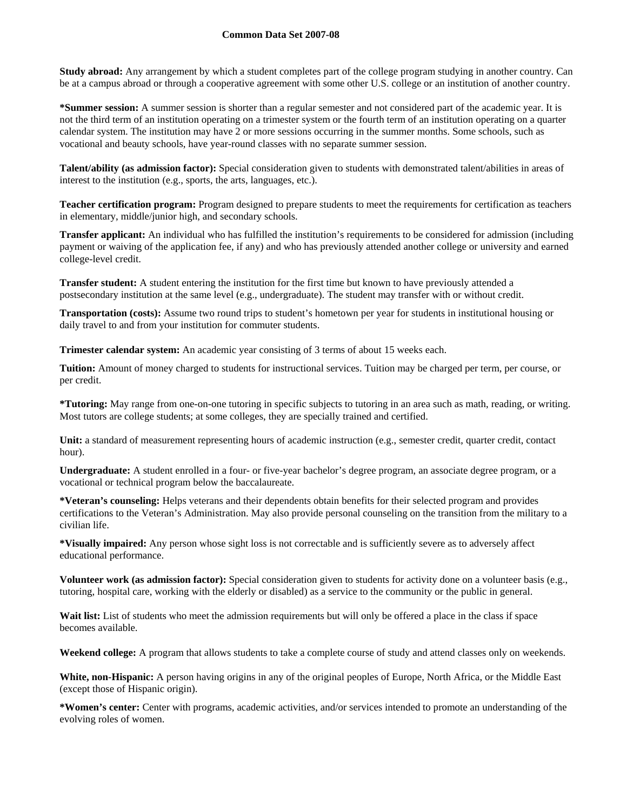**Study abroad:** Any arrangement by which a student completes part of the college program studying in another country. Can be at a campus abroad or through a cooperative agreement with some other U.S. college or an institution of another country.

**\*Summer session:** A summer session is shorter than a regular semester and not considered part of the academic year. It is not the third term of an institution operating on a trimester system or the fourth term of an institution operating on a quarter calendar system. The institution may have 2 or more sessions occurring in the summer months. Some schools, such as vocational and beauty schools, have year-round classes with no separate summer session.

**Talent/ability (as admission factor):** Special consideration given to students with demonstrated talent/abilities in areas of interest to the institution (e.g., sports, the arts, languages, etc.).

**Teacher certification program:** Program designed to prepare students to meet the requirements for certification as teachers in elementary, middle/junior high, and secondary schools.

**Transfer applicant:** An individual who has fulfilled the institution's requirements to be considered for admission (including payment or waiving of the application fee, if any) and who has previously attended another college or university and earned college-level credit.

**Transfer student:** A student entering the institution for the first time but known to have previously attended a postsecondary institution at the same level (e.g., undergraduate). The student may transfer with or without credit.

**Transportation (costs):** Assume two round trips to student's hometown per year for students in institutional housing or daily travel to and from your institution for commuter students.

**Trimester calendar system:** An academic year consisting of 3 terms of about 15 weeks each.

**Tuition:** Amount of money charged to students for instructional services. Tuition may be charged per term, per course, or per credit.

**\*Tutoring:** May range from one-on-one tutoring in specific subjects to tutoring in an area such as math, reading, or writing. Most tutors are college students; at some colleges, they are specially trained and certified.

**Unit:** a standard of measurement representing hours of academic instruction (e.g., semester credit, quarter credit, contact hour).

**Undergraduate:** A student enrolled in a four- or five-year bachelor's degree program, an associate degree program, or a vocational or technical program below the baccalaureate.

**\*Veteran's counseling:** Helps veterans and their dependents obtain benefits for their selected program and provides certifications to the Veteran's Administration. May also provide personal counseling on the transition from the military to a civilian life.

**\*Visually impaired:** Any person whose sight loss is not correctable and is sufficiently severe as to adversely affect educational performance.

**Volunteer work (as admission factor):** Special consideration given to students for activity done on a volunteer basis (e.g., tutoring, hospital care, working with the elderly or disabled) as a service to the community or the public in general.

Wait list: List of students who meet the admission requirements but will only be offered a place in the class if space becomes available.

**Weekend college:** A program that allows students to take a complete course of study and attend classes only on weekends.

**White, non-Hispanic:** A person having origins in any of the original peoples of Europe, North Africa, or the Middle East (except those of Hispanic origin).

**\*Women's center:** Center with programs, academic activities, and/or services intended to promote an understanding of the evolving roles of women.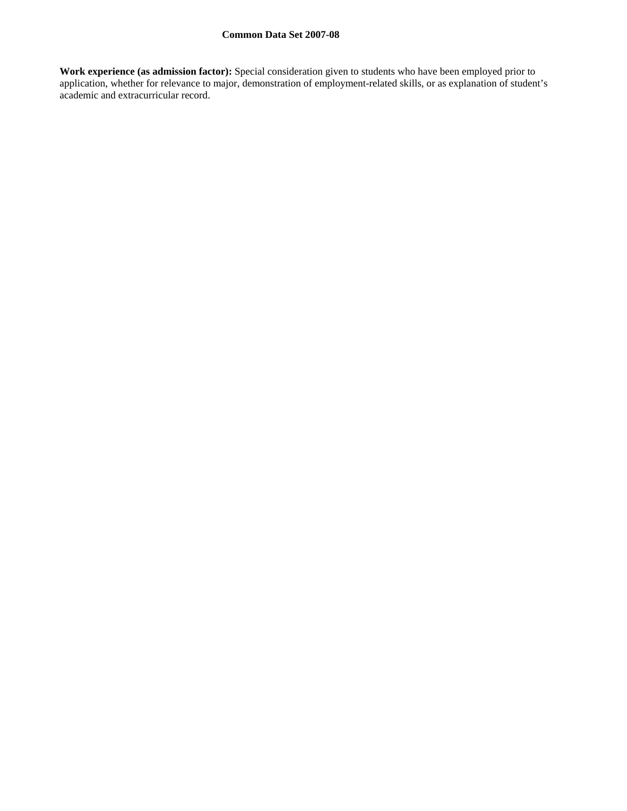**Work experience (as admission factor):** Special consideration given to students who have been employed prior to application, whether for relevance to major, demonstration of employment-related skills, or as explanation of student's academic and extracurricular record.